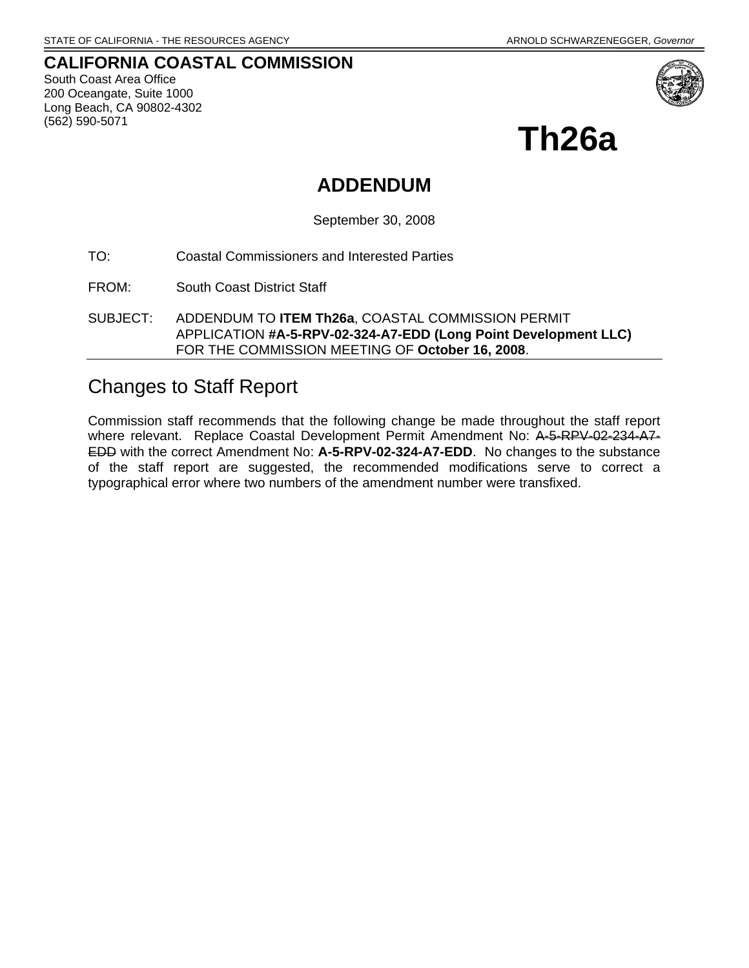## **CALIFORNIA COASTAL COMMISSION**  South Coast Area Office 200 Oceangate, Suite 1000 Long Beach, CA 90802-4302 (562) 590-5071



**Th26a** 

# **ADDENDUM**

September 30, 2008

TO: Coastal Commissioners and Interested Parties

FROM: South Coast District Staff

SUBJECT: ADDENDUM TO **ITEM Th26a**, COASTAL COMMISSION PERMIT APPLICATION **#A-5-RPV-02-324-A7-EDD (Long Point Development LLC)** FOR THE COMMISSION MEETING OF **October 16, 2008**.

# Changes to Staff Report

Commission staff recommends that the following change be made throughout the staff report where relevant. Replace Coastal Development Permit Amendment No: A-5-RPV-02-234-A7-EDD with the correct Amendment No: **A-5-RPV-02-324-A7-EDD**. No changes to the substance of the staff report are suggested, the recommended modifications serve to correct a typographical error where two numbers of the amendment number were transfixed.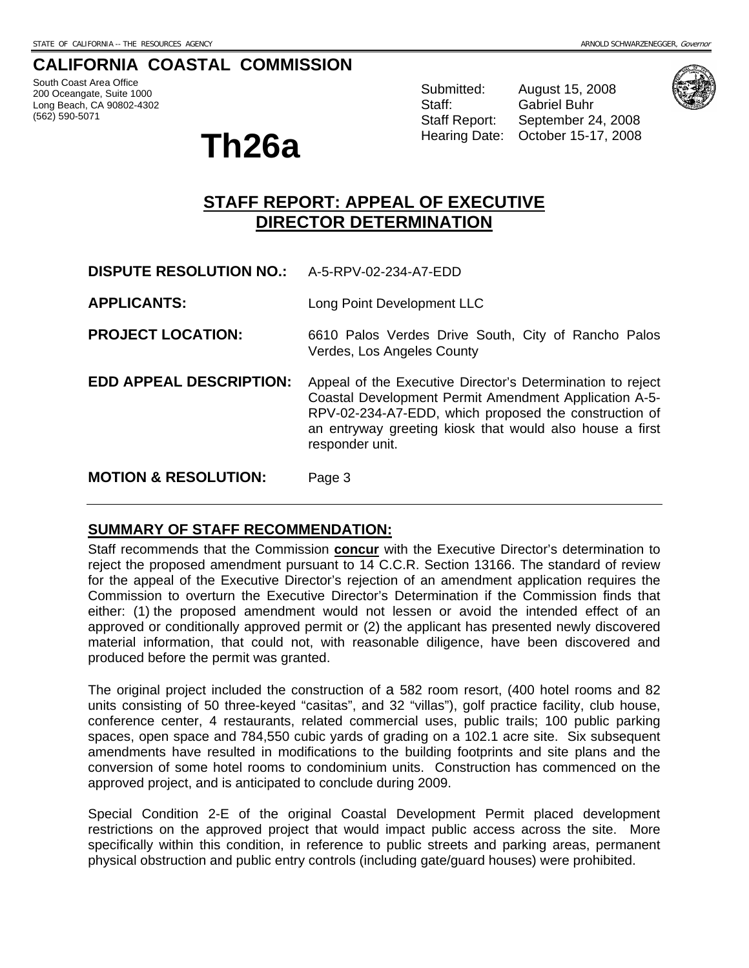# **CALIFORNIA COASTAL COMMISSION**

South Coast Area Office 200 Oceangate, Suite 1000 Long Beach, CA 90802-4302 (562) 590-5071

# **Th26a Hearing Date: October 15-17, 2008**

Submitted: August 15, 2008 Staff: Gabriel Buhr

Staff Report: September 24, 2008



# **STAFF REPORT: APPEAL OF EXECUTIVE DIRECTOR DETERMINATION**

**DISPUTE RESOLUTION NO.:** A-5-RPV-02-234-A7-EDD

**APPLICANTS:** Long Point Development LLC

**PROJECT LOCATION:** 6610 Palos Verdes Drive South, City of Rancho Palos Verdes, Los Angeles County

**EDD APPEAL DESCRIPTION:** Appeal of the Executive Director's Determination to reject Coastal Development Permit Amendment Application A-5- RPV-02-234-A7-EDD, which proposed the construction of an entryway greeting kiosk that would also house a first responder unit.

**MOTION & RESOLUTION:** Page 3

# **SUMMARY OF STAFF RECOMMENDATION:**

Staff recommends that the Commission **concur** with the Executive Director's determination to reject the proposed amendment pursuant to 14 C.C.R. Section 13166. The standard of review for the appeal of the Executive Director's rejection of an amendment application requires the Commission to overturn the Executive Director's Determination if the Commission finds that either: (1) the proposed amendment would not lessen or avoid the intended effect of an approved or conditionally approved permit or (2) the applicant has presented newly discovered material information, that could not, with reasonable diligence, have been discovered and produced before the permit was granted.

The original project included the construction of a 582 room resort, (400 hotel rooms and 82 units consisting of 50 three-keyed "casitas", and 32 "villas"), golf practice facility, club house, conference center, 4 restaurants, related commercial uses, public trails; 100 public parking spaces, open space and 784,550 cubic yards of grading on a 102.1 acre site. Six subsequent amendments have resulted in modifications to the building footprints and site plans and the conversion of some hotel rooms to condominium units. Construction has commenced on the approved project, and is anticipated to conclude during 2009.

Special Condition 2-E of the original Coastal Development Permit placed development restrictions on the approved project that would impact public access across the site. More specifically within this condition, in reference to public streets and parking areas, permanent physical obstruction and public entry controls (including gate/guard houses) were prohibited.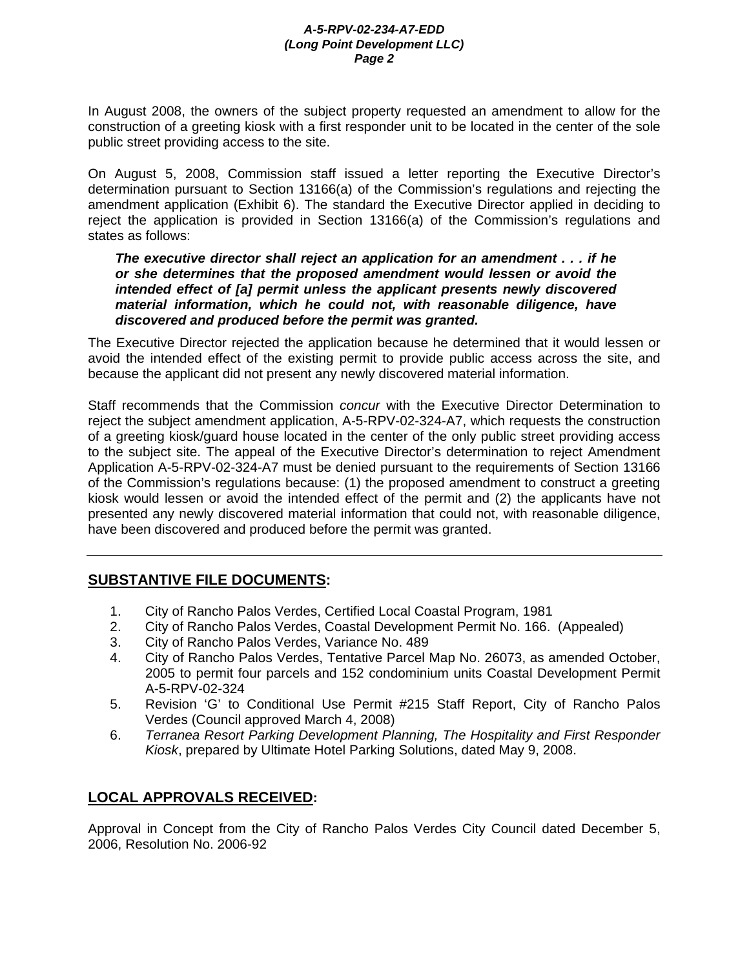In August 2008, the owners of the subject property requested an amendment to allow for the construction of a greeting kiosk with a first responder unit to be located in the center of the sole public street providing access to the site.

On August 5, 2008, Commission staff issued a letter reporting the Executive Director's determination pursuant to Section 13166(a) of the Commission's regulations and rejecting the amendment application (Exhibit 6). The standard the Executive Director applied in deciding to reject the application is provided in Section 13166(a) of the Commission's regulations and states as follows:

# *The executive director shall reject an application for an amendment . . . if he or she determines that the proposed amendment would lessen or avoid the intended effect of [a] permit unless the applicant presents newly discovered material information, which he could not, with reasonable diligence, have discovered and produced before the permit was granted.*

The Executive Director rejected the application because he determined that it would lessen or avoid the intended effect of the existing permit to provide public access across the site, and because the applicant did not present any newly discovered material information.

Staff recommends that the Commission *concur* with the Executive Director Determination to reject the subject amendment application, A-5-RPV-02-324-A7, which requests the construction of a greeting kiosk/guard house located in the center of the only public street providing access to the subject site. The appeal of the Executive Director's determination to reject Amendment Application A-5-RPV-02-324-A7 must be denied pursuant to the requirements of Section 13166 of the Commission's regulations because: (1) the proposed amendment to construct a greeting kiosk would lessen or avoid the intended effect of the permit and (2) the applicants have not presented any newly discovered material information that could not, with reasonable diligence, have been discovered and produced before the permit was granted.

# **SUBSTANTIVE FILE DOCUMENTS:**

- 1. City of Rancho Palos Verdes, Certified Local Coastal Program, 1981
- 2. City of Rancho Palos Verdes, Coastal Development Permit No. 166. (Appealed)
- 3. City of Rancho Palos Verdes, Variance No. 489
- 4. City of Rancho Palos Verdes, Tentative Parcel Map No. 26073, as amended October, 2005 to permit four parcels and 152 condominium units Coastal Development Permit A-5-RPV-02-324
- 5. Revision 'G' to Conditional Use Permit #215 Staff Report, City of Rancho Palos Verdes (Council approved March 4, 2008)
- 6. *Terranea Resort Parking Development Planning, The Hospitality and First Responder Kiosk*, prepared by Ultimate Hotel Parking Solutions, dated May 9, 2008.

# **LOCAL APPROVALS RECEIVED:**

Approval in Concept from the City of Rancho Palos Verdes City Council dated December 5, 2006, Resolution No. 2006-92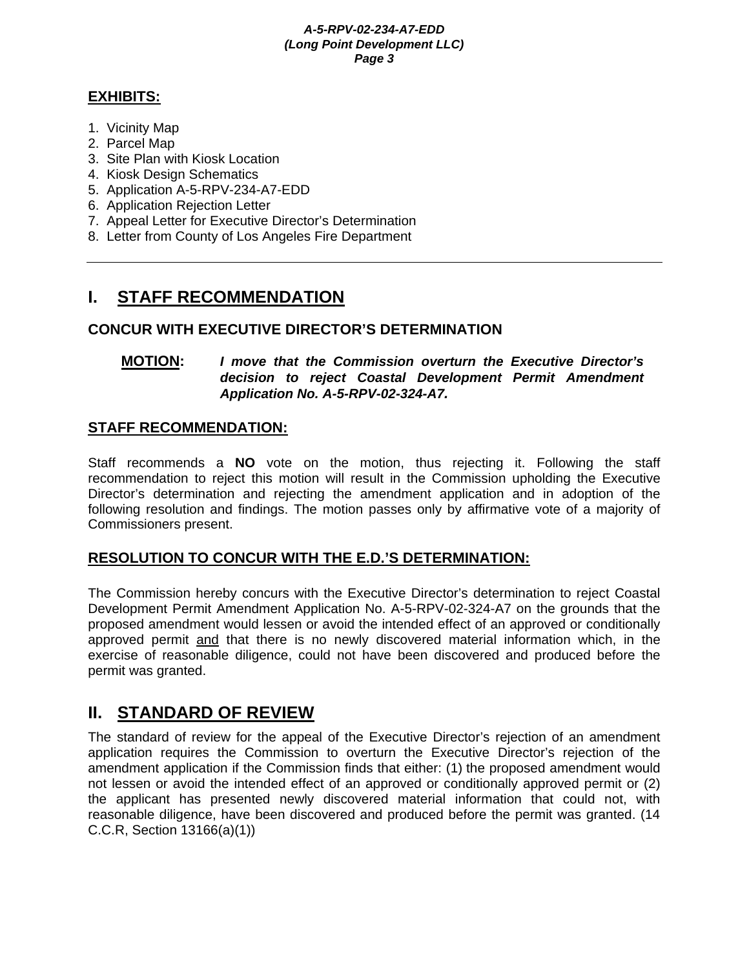# **EXHIBITS:**

- 1. Vicinity Map
- 2. Parcel Map
- 3. Site Plan with Kiosk Location
- 4. Kiosk Design Schematics
- 5. Application A-5-RPV-234-A7-EDD
- 6. Application Rejection Letter
- 7. Appeal Letter for Executive Director's Determination
- 8. Letter from County of Los Angeles Fire Department

# **I. STAFF RECOMMENDATION**

# **CONCUR WITH EXECUTIVE DIRECTOR'S DETERMINATION**

# **MOTION:** *I move that the Commission overturn the Executive Director's decision to reject Coastal Development Permit Amendment Application No. A-5-RPV-02-324-A7.*

# **STAFF RECOMMENDATION:**

Staff recommends a **NO** vote on the motion, thus rejecting it. Following the staff recommendation to reject this motion will result in the Commission upholding the Executive Director's determination and rejecting the amendment application and in adoption of the following resolution and findings. The motion passes only by affirmative vote of a majority of Commissioners present.

# **RESOLUTION TO CONCUR WITH THE E.D.'S DETERMINATION:**

The Commission hereby concurs with the Executive Director's determination to reject Coastal Development Permit Amendment Application No. A-5-RPV-02-324-A7 on the grounds that the proposed amendment would lessen or avoid the intended effect of an approved or conditionally approved permit and that there is no newly discovered material information which, in the exercise of reasonable diligence, could not have been discovered and produced before the permit was granted.

# **II. STANDARD OF REVIEW**

The standard of review for the appeal of the Executive Director's rejection of an amendment application requires the Commission to overturn the Executive Director's rejection of the amendment application if the Commission finds that either: (1) the proposed amendment would not lessen or avoid the intended effect of an approved or conditionally approved permit or (2) the applicant has presented newly discovered material information that could not, with reasonable diligence, have been discovered and produced before the permit was granted. (14 C.C.R, Section 13166(a)(1))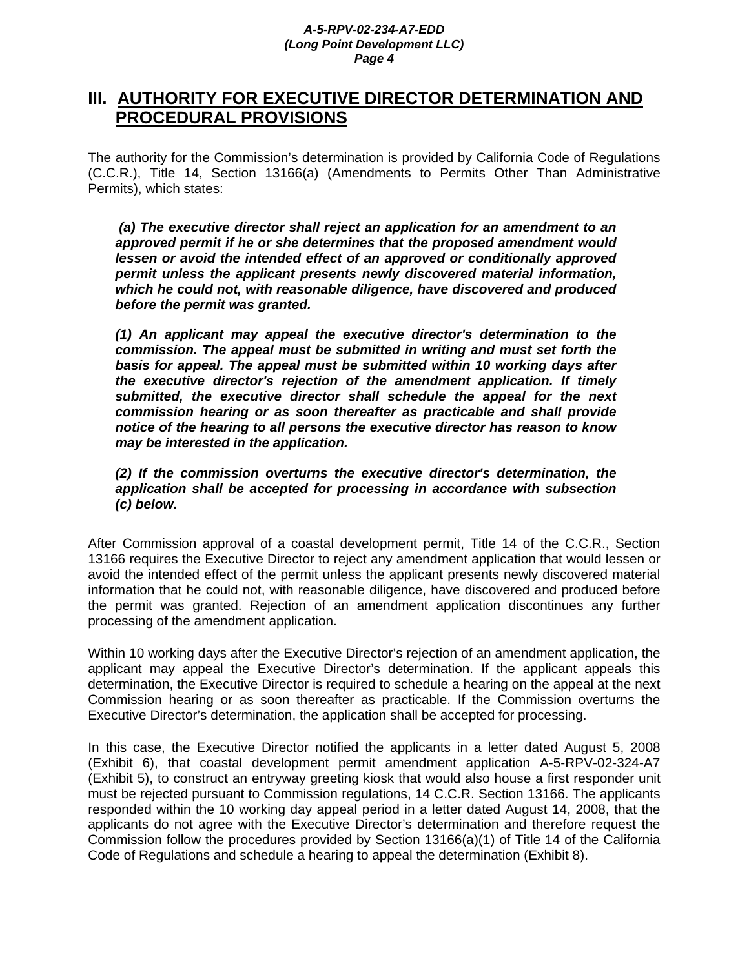# **III. AUTHORITY FOR EXECUTIVE DIRECTOR DETERMINATION AND PROCEDURAL PROVISIONS**

The authority for the Commission's determination is provided by California Code of Regulations (C.C.R.), Title 14, Section 13166(a) (Amendments to Permits Other Than Administrative Permits), which states:

 *(a) The executive director shall reject an application for an amendment to an approved permit if he or she determines that the proposed amendment would lessen or avoid the intended effect of an approved or conditionally approved permit unless the applicant presents newly discovered material information, which he could not, with reasonable diligence, have discovered and produced before the permit was granted.* 

*(1) An applicant may appeal the executive director's determination to the commission. The appeal must be submitted in writing and must set forth the basis for appeal. The appeal must be submitted within 10 working days after the executive director's rejection of the amendment application. If timely submitted, the executive director shall schedule the appeal for the next commission hearing or as soon thereafter as practicable and shall provide notice of the hearing to all persons the executive director has reason to know may be interested in the application.* 

*(2) If the commission overturns the executive director's determination, the application shall be accepted for processing in accordance with subsection (c) below.* 

After Commission approval of a coastal development permit, Title 14 of the C.C.R., Section 13166 requires the Executive Director to reject any amendment application that would lessen or avoid the intended effect of the permit unless the applicant presents newly discovered material information that he could not, with reasonable diligence, have discovered and produced before the permit was granted. Rejection of an amendment application discontinues any further processing of the amendment application.

Within 10 working days after the Executive Director's rejection of an amendment application, the applicant may appeal the Executive Director's determination. If the applicant appeals this determination, the Executive Director is required to schedule a hearing on the appeal at the next Commission hearing or as soon thereafter as practicable. If the Commission overturns the Executive Director's determination, the application shall be accepted for processing.

In this case, the Executive Director notified the applicants in a letter dated August 5, 2008 (Exhibit 6), that coastal development permit amendment application A-5-RPV-02-324-A7 (Exhibit 5), to construct an entryway greeting kiosk that would also house a first responder unit must be rejected pursuant to Commission regulations, 14 C.C.R. Section 13166. The applicants responded within the 10 working day appeal period in a letter dated August 14, 2008, that the applicants do not agree with the Executive Director's determination and therefore request the Commission follow the procedures provided by Section 13166(a)(1) of Title 14 of the California Code of Regulations and schedule a hearing to appeal the determination (Exhibit 8).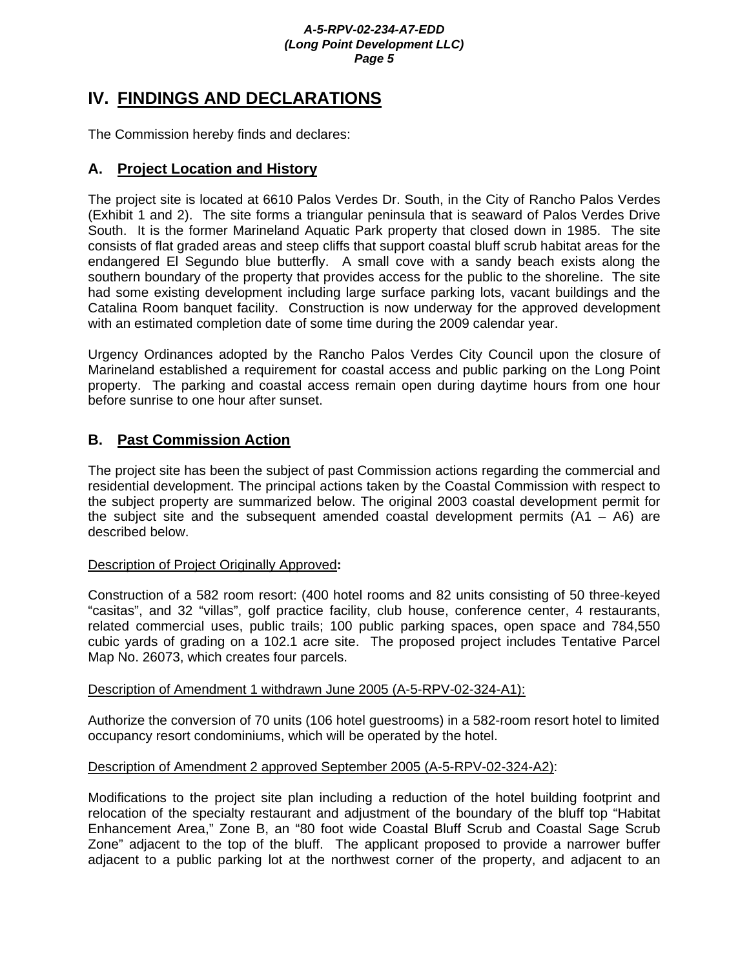# **IV. FINDINGS AND DECLARATIONS**

The Commission hereby finds and declares:

# **A. Project Location and History**

The project site is located at 6610 Palos Verdes Dr. South, in the City of Rancho Palos Verdes (Exhibit 1 and 2). The site forms a triangular peninsula that is seaward of Palos Verdes Drive South. It is the former Marineland Aquatic Park property that closed down in 1985. The site consists of flat graded areas and steep cliffs that support coastal bluff scrub habitat areas for the endangered El Segundo blue butterfly. A small cove with a sandy beach exists along the southern boundary of the property that provides access for the public to the shoreline. The site had some existing development including large surface parking lots, vacant buildings and the Catalina Room banquet facility. Construction is now underway for the approved development with an estimated completion date of some time during the 2009 calendar year.

Urgency Ordinances adopted by the Rancho Palos Verdes City Council upon the closure of Marineland established a requirement for coastal access and public parking on the Long Point property. The parking and coastal access remain open during daytime hours from one hour before sunrise to one hour after sunset.

# **B. Past Commission Action**

The project site has been the subject of past Commission actions regarding the commercial and residential development. The principal actions taken by the Coastal Commission with respect to the subject property are summarized below. The original 2003 coastal development permit for the subject site and the subsequent amended coastal development permits  $(A1 - AG)$  are described below.

# Description of Project Originally Approved**:**

Construction of a 582 room resort: (400 hotel rooms and 82 units consisting of 50 three-keyed "casitas", and 32 "villas", golf practice facility, club house, conference center, 4 restaurants, related commercial uses, public trails; 100 public parking spaces, open space and 784,550 cubic yards of grading on a 102.1 acre site. The proposed project includes Tentative Parcel Map No. 26073, which creates four parcels.

# Description of Amendment 1 withdrawn June 2005 (A-5-RPV-02-324-A1):

Authorize the conversion of 70 units (106 hotel guestrooms) in a 582-room resort hotel to limited occupancy resort condominiums, which will be operated by the hotel.

# Description of Amendment 2 approved September 2005 (A-5-RPV-02-324-A2):

Modifications to the project site plan including a reduction of the hotel building footprint and relocation of the specialty restaurant and adjustment of the boundary of the bluff top "Habitat Enhancement Area," Zone B, an "80 foot wide Coastal Bluff Scrub and Coastal Sage Scrub Zone" adjacent to the top of the bluff. The applicant proposed to provide a narrower buffer adjacent to a public parking lot at the northwest corner of the property, and adjacent to an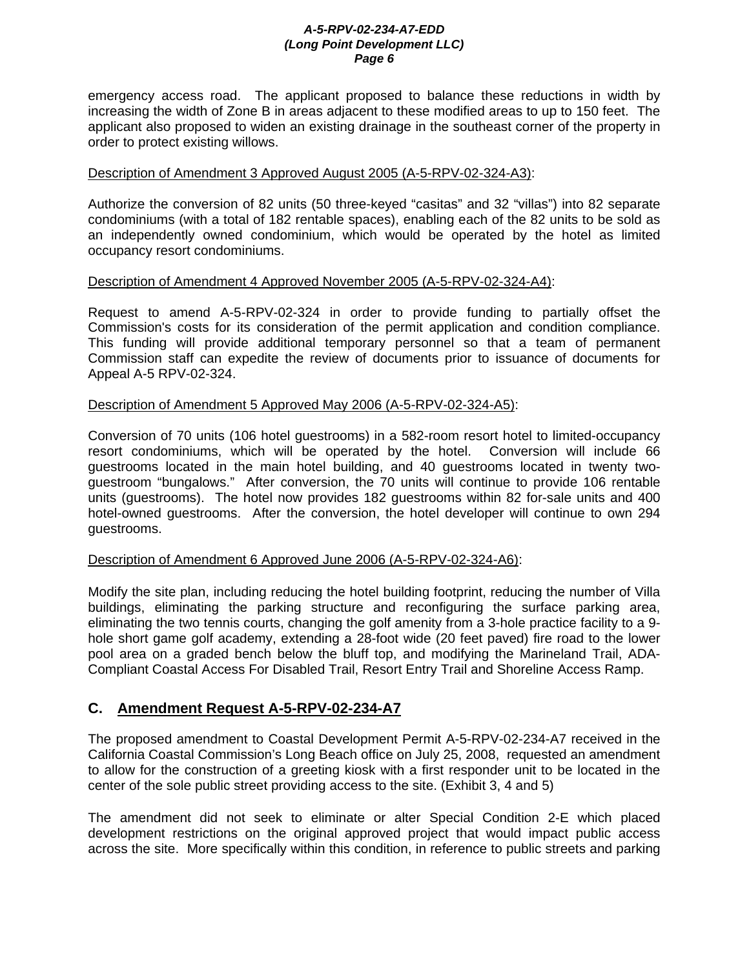emergency access road. The applicant proposed to balance these reductions in width by increasing the width of Zone B in areas adjacent to these modified areas to up to 150 feet. The applicant also proposed to widen an existing drainage in the southeast corner of the property in order to protect existing willows.

## Description of Amendment 3 Approved August 2005 (A-5-RPV-02-324-A3):

Authorize the conversion of 82 units (50 three-keyed "casitas" and 32 "villas") into 82 separate condominiums (with a total of 182 rentable spaces), enabling each of the 82 units to be sold as an independently owned condominium, which would be operated by the hotel as limited occupancy resort condominiums.

# Description of Amendment 4 Approved November 2005 (A-5-RPV-02-324-A4):

Request to amend A-5-RPV-02-324 in order to provide funding to partially offset the Commission's costs for its consideration of the permit application and condition compliance. This funding will provide additional temporary personnel so that a team of permanent Commission staff can expedite the review of documents prior to issuance of documents for Appeal A-5 RPV-02-324.

# Description of Amendment 5 Approved May 2006 (A-5-RPV-02-324-A5):

Conversion of 70 units (106 hotel guestrooms) in a 582-room resort hotel to limited-occupancy resort condominiums, which will be operated by the hotel. Conversion will include 66 guestrooms located in the main hotel building, and 40 guestrooms located in twenty twoguestroom "bungalows." After conversion, the 70 units will continue to provide 106 rentable units (guestrooms). The hotel now provides 182 guestrooms within 82 for-sale units and 400 hotel-owned guestrooms. After the conversion, the hotel developer will continue to own 294 guestrooms.

## Description of Amendment 6 Approved June 2006 (A-5-RPV-02-324-A6):

Modify the site plan, including reducing the hotel building footprint, reducing the number of Villa buildings, eliminating the parking structure and reconfiguring the surface parking area, eliminating the two tennis courts, changing the golf amenity from a 3-hole practice facility to a 9 hole short game golf academy, extending a 28-foot wide (20 feet paved) fire road to the lower pool area on a graded bench below the bluff top, and modifying the Marineland Trail, ADA-Compliant Coastal Access For Disabled Trail, Resort Entry Trail and Shoreline Access Ramp.

# **C. Amendment Request A-5-RPV-02-234-A7**

The proposed amendment to Coastal Development Permit A-5-RPV-02-234-A7 received in the California Coastal Commission's Long Beach office on July 25, 2008, requested an amendment to allow for the construction of a greeting kiosk with a first responder unit to be located in the center of the sole public street providing access to the site. (Exhibit 3, 4 and 5)

The amendment did not seek to eliminate or alter Special Condition 2-E which placed development restrictions on the original approved project that would impact public access across the site. More specifically within this condition, in reference to public streets and parking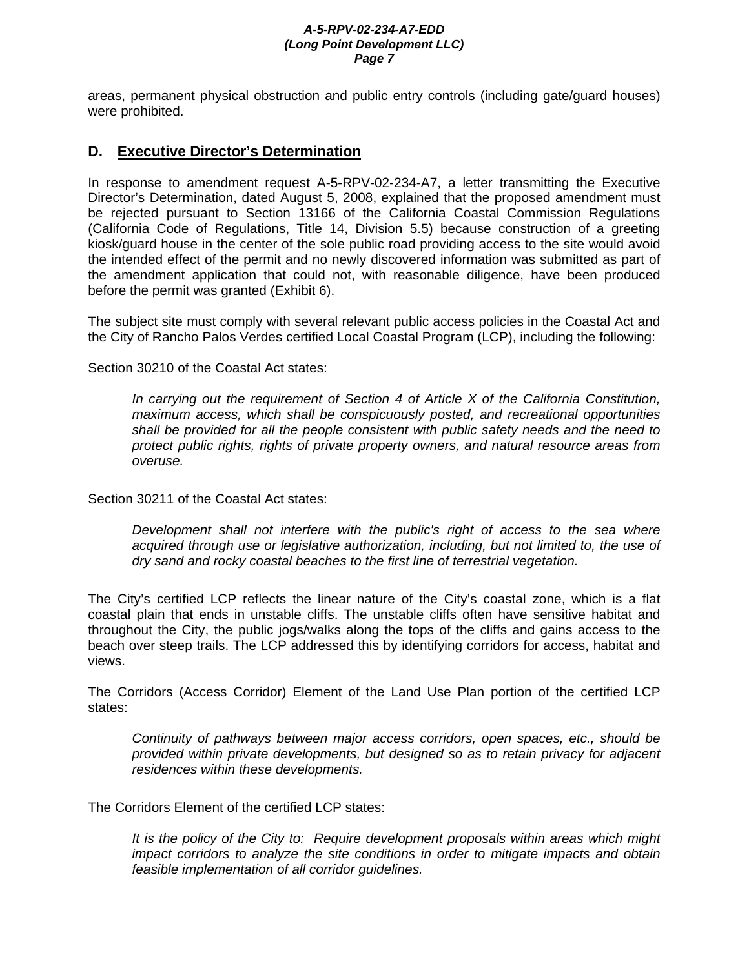areas, permanent physical obstruction and public entry controls (including gate/guard houses) were prohibited.

# **D. Executive Director's Determination**

In response to amendment request A-5-RPV-02-234-A7, a letter transmitting the Executive Director's Determination, dated August 5, 2008, explained that the proposed amendment must be rejected pursuant to Section 13166 of the California Coastal Commission Regulations (California Code of Regulations, Title 14, Division 5.5) because construction of a greeting kiosk/guard house in the center of the sole public road providing access to the site would avoid the intended effect of the permit and no newly discovered information was submitted as part of the amendment application that could not, with reasonable diligence, have been produced before the permit was granted (Exhibit 6).

The subject site must comply with several relevant public access policies in the Coastal Act and the City of Rancho Palos Verdes certified Local Coastal Program (LCP), including the following:

Section 30210 of the Coastal Act states:

*In carrying out the requirement of Section 4 of Article X of the California Constitution, maximum access, which shall be conspicuously posted, and recreational opportunities shall be provided for all the people consistent with public safety needs and the need to protect public rights, rights of private property owners, and natural resource areas from overuse.* 

Section 30211 of the Coastal Act states:

*Development shall not interfere with the public's right of access to the sea where acquired through use or legislative authorization, including, but not limited to, the use of dry sand and rocky coastal beaches to the first line of terrestrial vegetation.* 

The City's certified LCP reflects the linear nature of the City's coastal zone, which is a flat coastal plain that ends in unstable cliffs. The unstable cliffs often have sensitive habitat and throughout the City, the public jogs/walks along the tops of the cliffs and gains access to the beach over steep trails. The LCP addressed this by identifying corridors for access, habitat and views.

The Corridors (Access Corridor) Element of the Land Use Plan portion of the certified LCP states:

*Continuity of pathways between major access corridors, open spaces, etc., should be provided within private developments, but designed so as to retain privacy for adjacent residences within these developments.* 

The Corridors Element of the certified LCP states:

*It is the policy of the City to: Require development proposals within areas which might impact corridors to analyze the site conditions in order to mitigate impacts and obtain feasible implementation of all corridor guidelines.*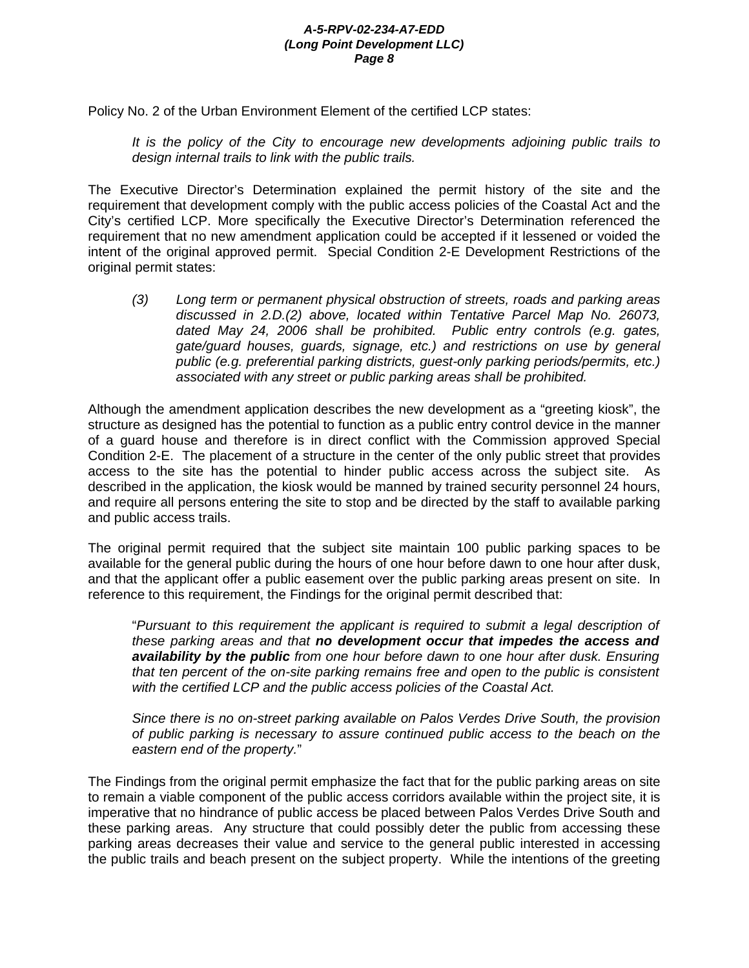Policy No. 2 of the Urban Environment Element of the certified LCP states:

*It is the policy of the City to encourage new developments adjoining public trails to design internal trails to link with the public trails.* 

The Executive Director's Determination explained the permit history of the site and the requirement that development comply with the public access policies of the Coastal Act and the City's certified LCP. More specifically the Executive Director's Determination referenced the requirement that no new amendment application could be accepted if it lessened or voided the intent of the original approved permit. Special Condition 2-E Development Restrictions of the original permit states:

*(3) Long term or permanent physical obstruction of streets, roads and parking areas discussed in 2.D.(2) above, located within Tentative Parcel Map No. 26073, dated May 24, 2006 shall be prohibited. Public entry controls (e.g. gates, gate/guard houses, guards, signage, etc.) and restrictions on use by general public (e.g. preferential parking districts, guest-only parking periods/permits, etc.) associated with any street or public parking areas shall be prohibited.* 

Although the amendment application describes the new development as a "greeting kiosk", the structure as designed has the potential to function as a public entry control device in the manner of a guard house and therefore is in direct conflict with the Commission approved Special Condition 2-E. The placement of a structure in the center of the only public street that provides access to the site has the potential to hinder public access across the subject site. As described in the application, the kiosk would be manned by trained security personnel 24 hours, and require all persons entering the site to stop and be directed by the staff to available parking and public access trails.

The original permit required that the subject site maintain 100 public parking spaces to be available for the general public during the hours of one hour before dawn to one hour after dusk, and that the applicant offer a public easement over the public parking areas present on site. In reference to this requirement, the Findings for the original permit described that:

"*Pursuant to this requirement the applicant is required to submit a legal description of these parking areas and that no development occur that impedes the access and availability by the public from one hour before dawn to one hour after dusk. Ensuring that ten percent of the on-site parking remains free and open to the public is consistent with the certified LCP and the public access policies of the Coastal Act.* 

*Since there is no on-street parking available on Palos Verdes Drive South, the provision of public parking is necessary to assure continued public access to the beach on the eastern end of the property.*"

The Findings from the original permit emphasize the fact that for the public parking areas on site to remain a viable component of the public access corridors available within the project site, it is imperative that no hindrance of public access be placed between Palos Verdes Drive South and these parking areas. Any structure that could possibly deter the public from accessing these parking areas decreases their value and service to the general public interested in accessing the public trails and beach present on the subject property. While the intentions of the greeting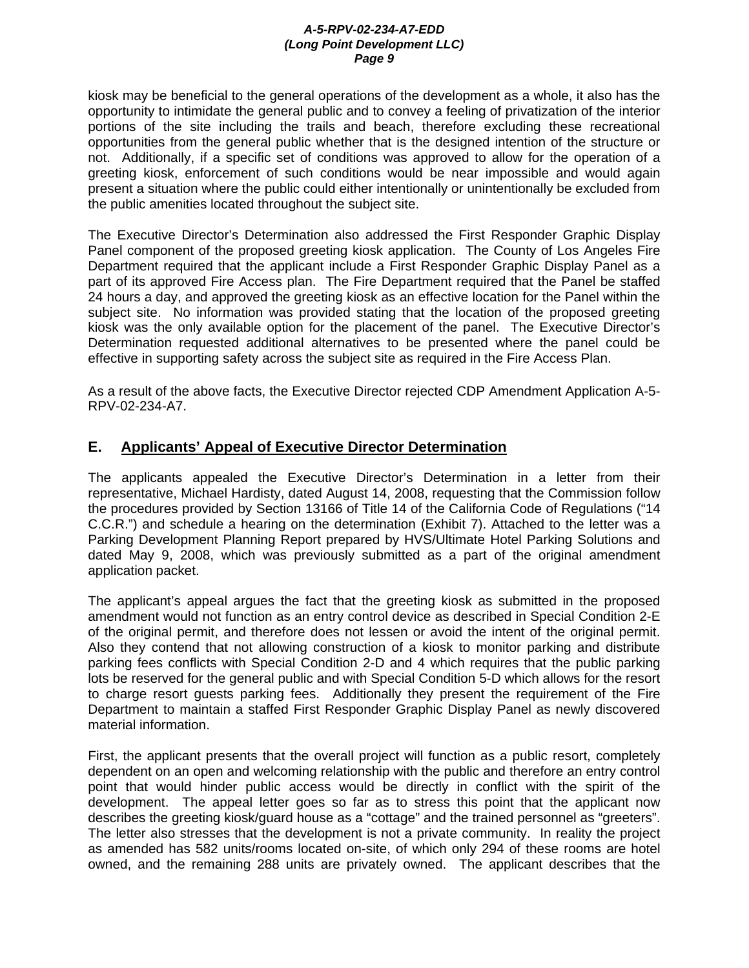kiosk may be beneficial to the general operations of the development as a whole, it also has the opportunity to intimidate the general public and to convey a feeling of privatization of the interior portions of the site including the trails and beach, therefore excluding these recreational opportunities from the general public whether that is the designed intention of the structure or not. Additionally, if a specific set of conditions was approved to allow for the operation of a greeting kiosk, enforcement of such conditions would be near impossible and would again present a situation where the public could either intentionally or unintentionally be excluded from the public amenities located throughout the subject site.

The Executive Director's Determination also addressed the First Responder Graphic Display Panel component of the proposed greeting kiosk application. The County of Los Angeles Fire Department required that the applicant include a First Responder Graphic Display Panel as a part of its approved Fire Access plan. The Fire Department required that the Panel be staffed 24 hours a day, and approved the greeting kiosk as an effective location for the Panel within the subject site. No information was provided stating that the location of the proposed greeting kiosk was the only available option for the placement of the panel. The Executive Director's Determination requested additional alternatives to be presented where the panel could be effective in supporting safety across the subject site as required in the Fire Access Plan.

As a result of the above facts, the Executive Director rejected CDP Amendment Application A-5- RPV-02-234-A7.

# **E. Applicants' Appeal of Executive Director Determination**

The applicants appealed the Executive Director's Determination in a letter from their representative, Michael Hardisty, dated August 14, 2008, requesting that the Commission follow the procedures provided by Section 13166 of Title 14 of the California Code of Regulations ("14 C.C.R.") and schedule a hearing on the determination (Exhibit 7). Attached to the letter was a Parking Development Planning Report prepared by HVS/Ultimate Hotel Parking Solutions and dated May 9, 2008, which was previously submitted as a part of the original amendment application packet.

The applicant's appeal argues the fact that the greeting kiosk as submitted in the proposed amendment would not function as an entry control device as described in Special Condition 2-E of the original permit, and therefore does not lessen or avoid the intent of the original permit. Also they contend that not allowing construction of a kiosk to monitor parking and distribute parking fees conflicts with Special Condition 2-D and 4 which requires that the public parking lots be reserved for the general public and with Special Condition 5-D which allows for the resort to charge resort guests parking fees. Additionally they present the requirement of the Fire Department to maintain a staffed First Responder Graphic Display Panel as newly discovered material information.

First, the applicant presents that the overall project will function as a public resort, completely dependent on an open and welcoming relationship with the public and therefore an entry control point that would hinder public access would be directly in conflict with the spirit of the development. The appeal letter goes so far as to stress this point that the applicant now describes the greeting kiosk/guard house as a "cottage" and the trained personnel as "greeters". The letter also stresses that the development is not a private community. In reality the project as amended has 582 units/rooms located on-site, of which only 294 of these rooms are hotel owned, and the remaining 288 units are privately owned. The applicant describes that the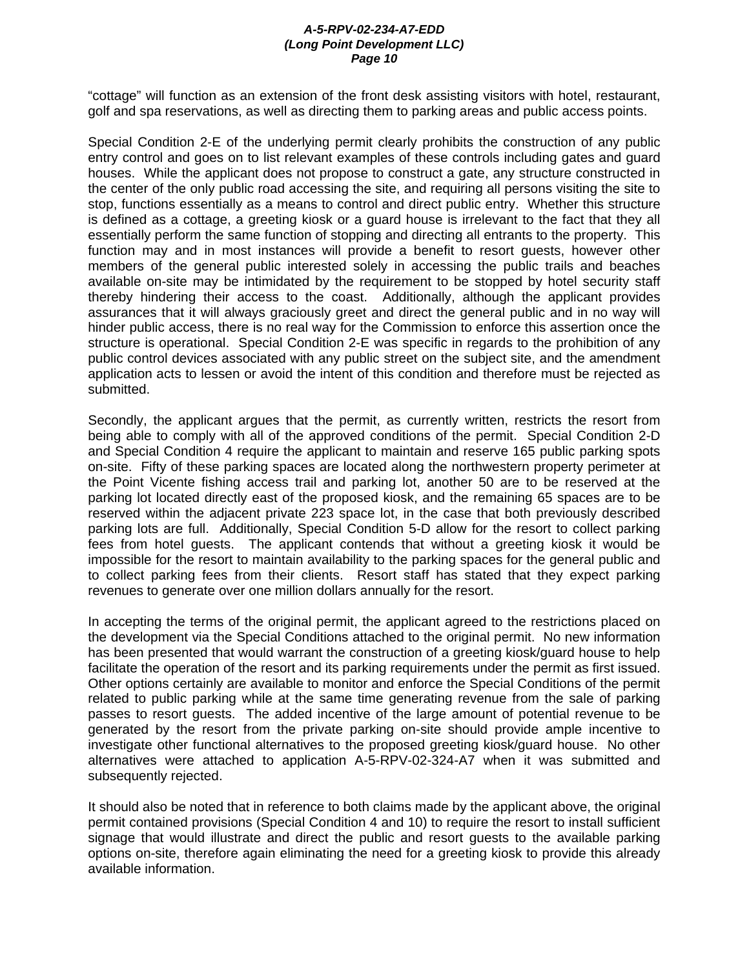"cottage" will function as an extension of the front desk assisting visitors with hotel, restaurant, golf and spa reservations, as well as directing them to parking areas and public access points.

Special Condition 2-E of the underlying permit clearly prohibits the construction of any public entry control and goes on to list relevant examples of these controls including gates and guard houses. While the applicant does not propose to construct a gate, any structure constructed in the center of the only public road accessing the site, and requiring all persons visiting the site to stop, functions essentially as a means to control and direct public entry. Whether this structure is defined as a cottage, a greeting kiosk or a guard house is irrelevant to the fact that they all essentially perform the same function of stopping and directing all entrants to the property. This function may and in most instances will provide a benefit to resort guests, however other members of the general public interested solely in accessing the public trails and beaches available on-site may be intimidated by the requirement to be stopped by hotel security staff thereby hindering their access to the coast. Additionally, although the applicant provides assurances that it will always graciously greet and direct the general public and in no way will hinder public access, there is no real way for the Commission to enforce this assertion once the structure is operational. Special Condition 2-E was specific in regards to the prohibition of any public control devices associated with any public street on the subject site, and the amendment application acts to lessen or avoid the intent of this condition and therefore must be rejected as submitted.

Secondly, the applicant argues that the permit, as currently written, restricts the resort from being able to comply with all of the approved conditions of the permit. Special Condition 2-D and Special Condition 4 require the applicant to maintain and reserve 165 public parking spots on-site. Fifty of these parking spaces are located along the northwestern property perimeter at the Point Vicente fishing access trail and parking lot, another 50 are to be reserved at the parking lot located directly east of the proposed kiosk, and the remaining 65 spaces are to be reserved within the adjacent private 223 space lot, in the case that both previously described parking lots are full. Additionally, Special Condition 5-D allow for the resort to collect parking fees from hotel guests. The applicant contends that without a greeting kiosk it would be impossible for the resort to maintain availability to the parking spaces for the general public and to collect parking fees from their clients. Resort staff has stated that they expect parking revenues to generate over one million dollars annually for the resort.

In accepting the terms of the original permit, the applicant agreed to the restrictions placed on the development via the Special Conditions attached to the original permit. No new information has been presented that would warrant the construction of a greeting kiosk/guard house to help facilitate the operation of the resort and its parking requirements under the permit as first issued. Other options certainly are available to monitor and enforce the Special Conditions of the permit related to public parking while at the same time generating revenue from the sale of parking passes to resort guests. The added incentive of the large amount of potential revenue to be generated by the resort from the private parking on-site should provide ample incentive to investigate other functional alternatives to the proposed greeting kiosk/guard house. No other alternatives were attached to application A-5-RPV-02-324-A7 when it was submitted and subsequently rejected.

It should also be noted that in reference to both claims made by the applicant above, the original permit contained provisions (Special Condition 4 and 10) to require the resort to install sufficient signage that would illustrate and direct the public and resort guests to the available parking options on-site, therefore again eliminating the need for a greeting kiosk to provide this already available information.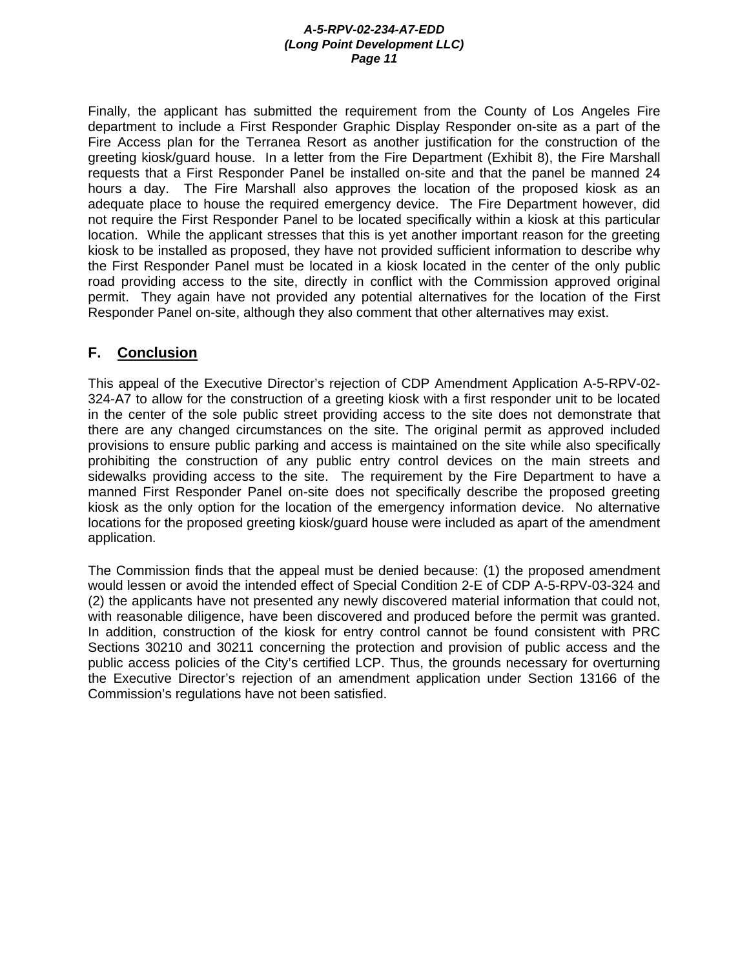Finally, the applicant has submitted the requirement from the County of Los Angeles Fire department to include a First Responder Graphic Display Responder on-site as a part of the Fire Access plan for the Terranea Resort as another justification for the construction of the greeting kiosk/guard house. In a letter from the Fire Department (Exhibit 8), the Fire Marshall requests that a First Responder Panel be installed on-site and that the panel be manned 24 hours a day. The Fire Marshall also approves the location of the proposed kiosk as an adequate place to house the required emergency device. The Fire Department however, did not require the First Responder Panel to be located specifically within a kiosk at this particular location. While the applicant stresses that this is yet another important reason for the greeting kiosk to be installed as proposed, they have not provided sufficient information to describe why the First Responder Panel must be located in a kiosk located in the center of the only public road providing access to the site, directly in conflict with the Commission approved original permit. They again have not provided any potential alternatives for the location of the First Responder Panel on-site, although they also comment that other alternatives may exist.

# **F. Conclusion**

This appeal of the Executive Director's rejection of CDP Amendment Application A-5-RPV-02- 324-A7 to allow for the construction of a greeting kiosk with a first responder unit to be located in the center of the sole public street providing access to the site does not demonstrate that there are any changed circumstances on the site. The original permit as approved included provisions to ensure public parking and access is maintained on the site while also specifically prohibiting the construction of any public entry control devices on the main streets and sidewalks providing access to the site. The requirement by the Fire Department to have a manned First Responder Panel on-site does not specifically describe the proposed greeting kiosk as the only option for the location of the emergency information device. No alternative locations for the proposed greeting kiosk/guard house were included as apart of the amendment application.

The Commission finds that the appeal must be denied because: (1) the proposed amendment would lessen or avoid the intended effect of Special Condition 2-E of CDP A-5-RPV-03-324 and (2) the applicants have not presented any newly discovered material information that could not, with reasonable diligence, have been discovered and produced before the permit was granted. In addition, construction of the kiosk for entry control cannot be found consistent with PRC Sections 30210 and 30211 concerning the protection and provision of public access and the public access policies of the City's certified LCP. Thus, the grounds necessary for overturning the Executive Director's rejection of an amendment application under Section 13166 of the Commission's regulations have not been satisfied.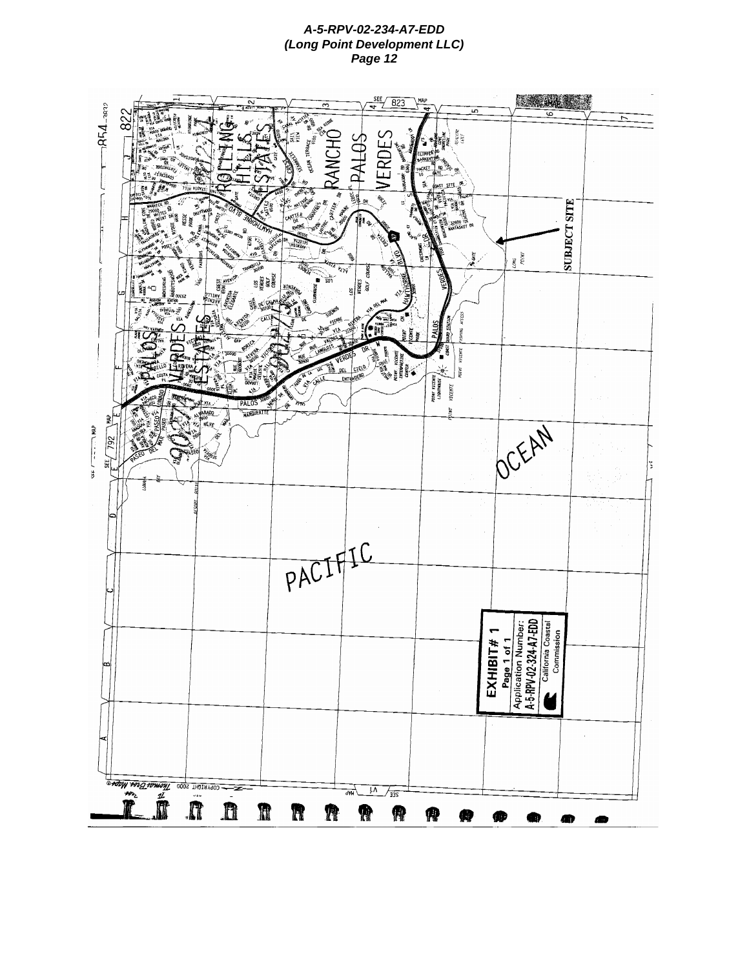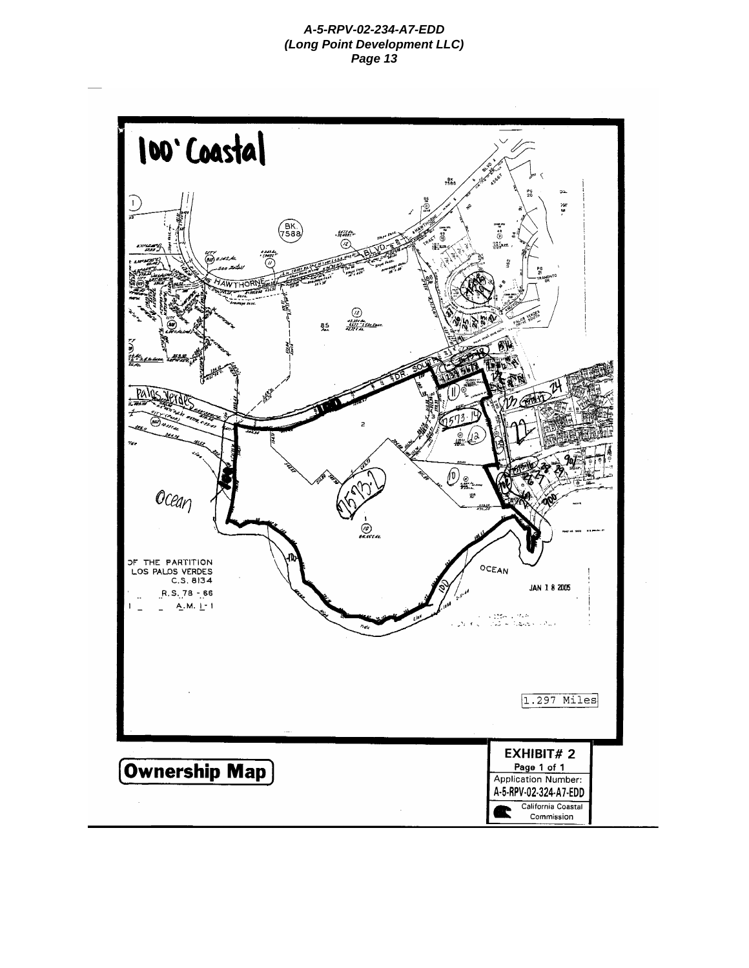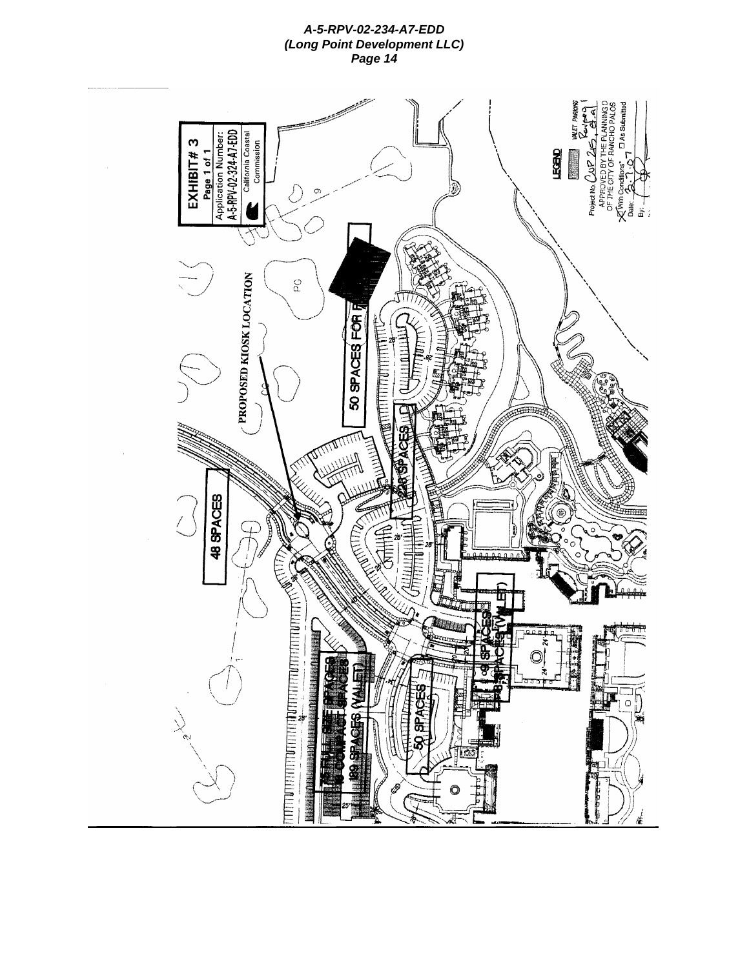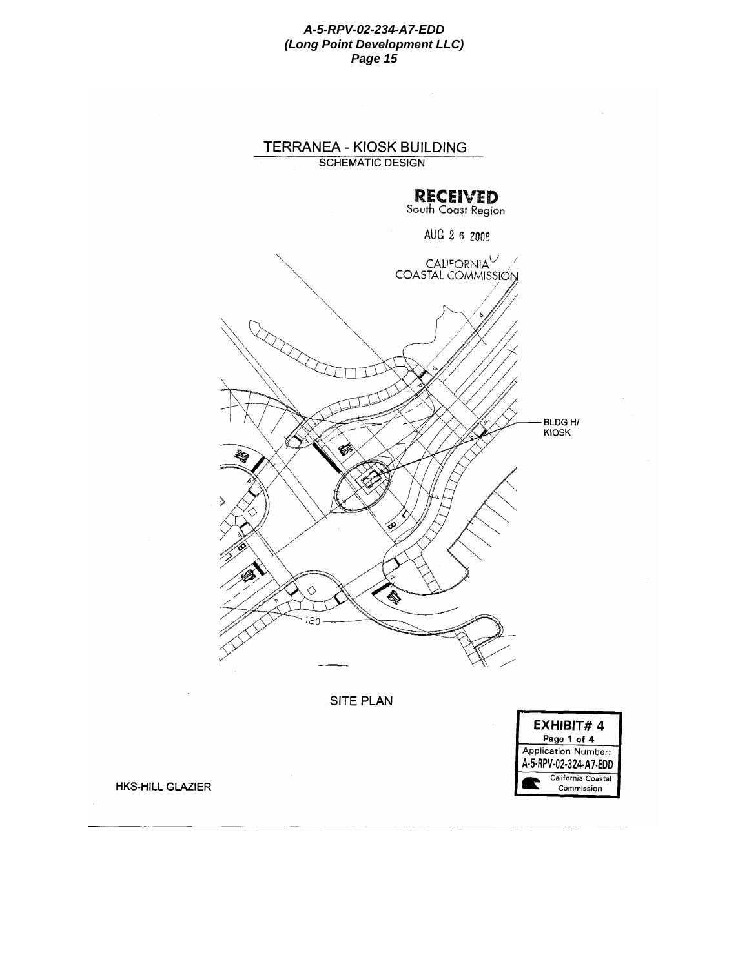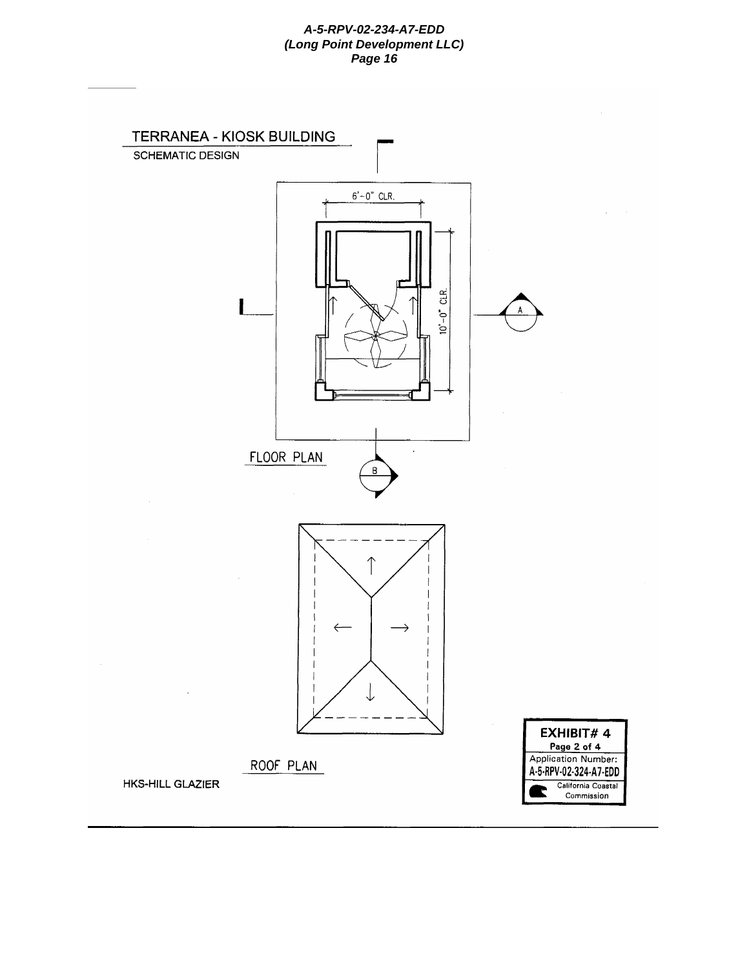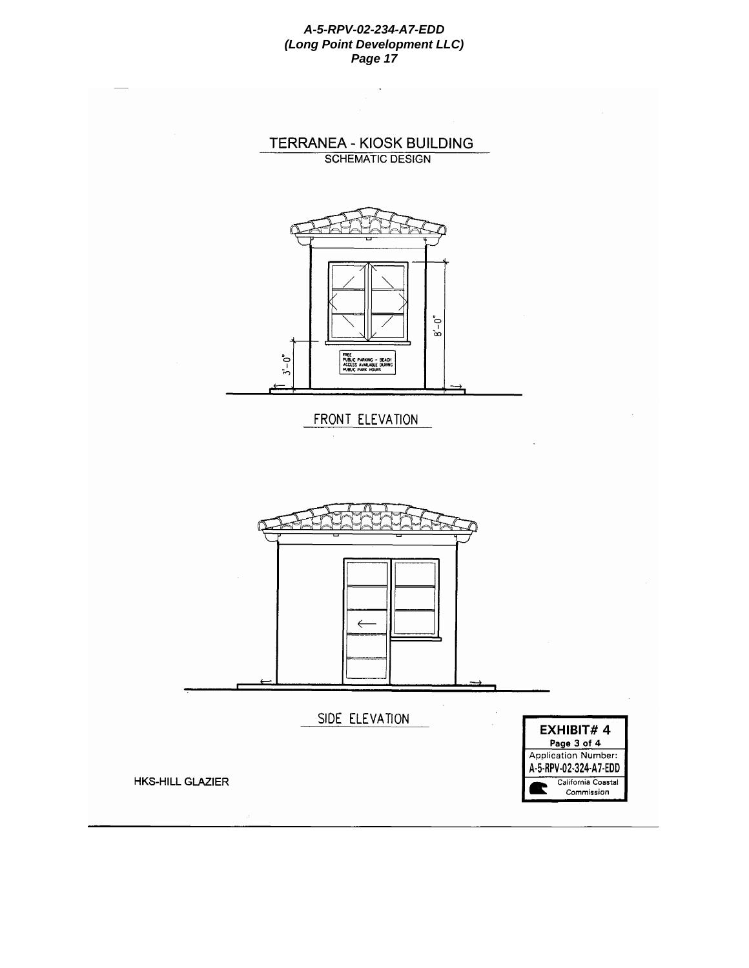

 $\cdot$ 







 $\leftarrow$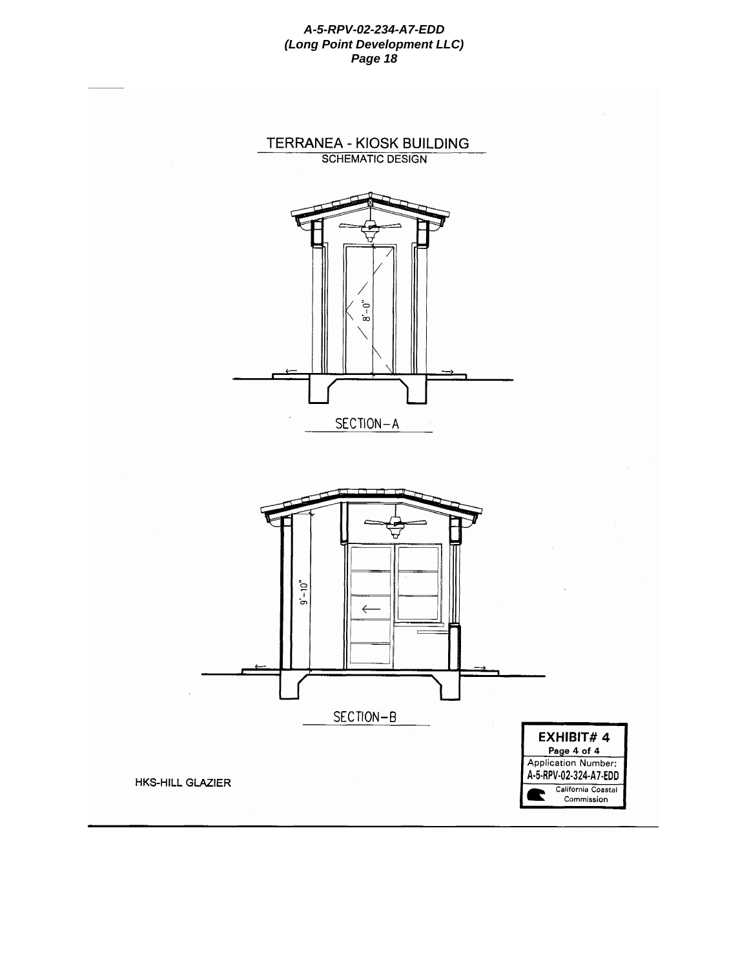

TERRANEA - KIOSK BUILDING



HKS-HILL GLAZIER

A-5-RPV-02-324-A7-EDD California Coastal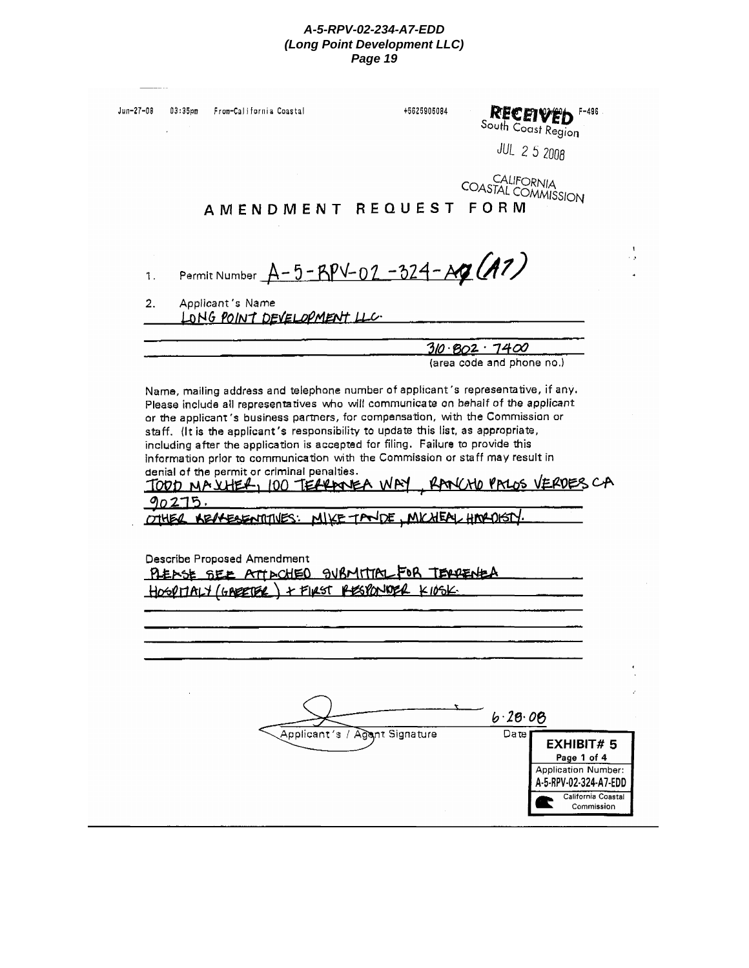| Jun-27-08 | $03:35$ pm | From-California Coastal     |                                                                                                                                                                                                                                                                                                                                                                           | +5625905084 | South Coast Region<br><b>JUL 2 5 2008</b>                                                                                                                                                                                | F-496                                                         |
|-----------|------------|-----------------------------|---------------------------------------------------------------------------------------------------------------------------------------------------------------------------------------------------------------------------------------------------------------------------------------------------------------------------------------------------------------------------|-------------|--------------------------------------------------------------------------------------------------------------------------------------------------------------------------------------------------------------------------|---------------------------------------------------------------|
|           |            |                             | AMENDMENT REQUEST                                                                                                                                                                                                                                                                                                                                                         |             | CALIFORNIA<br><b>COASTAL COMMISSION</b><br>FORM                                                                                                                                                                          |                                                               |
| 1.        |            |                             | Permit Number A-5-RPV-02-324-AQ (A7)                                                                                                                                                                                                                                                                                                                                      |             |                                                                                                                                                                                                                          |                                                               |
| 2.        |            | Applicant's Name            | LONG POINT DEVELOPMENT LLC.                                                                                                                                                                                                                                                                                                                                               |             |                                                                                                                                                                                                                          |                                                               |
|           |            |                             |                                                                                                                                                                                                                                                                                                                                                                           |             |                                                                                                                                                                                                                          |                                                               |
|           |            |                             |                                                                                                                                                                                                                                                                                                                                                                           |             | 310.802.7400<br>(area code and phone no.)                                                                                                                                                                                |                                                               |
|           | 90275,     | Describe Proposed Amendment | staff. (It is the applicant's responsibility to update this list, as appropriate,<br>including after the application is accepted for filing. Failure to provide this<br>denial of the permit or criminal penalties.<br>OTHER KENGESENTITIVES: MIKE TANDE, MICHEAU HARDISTY.<br>PLENSE SEE ATTACHED SUBMITTAL FOR TEADENED<br>HOSPITALY (GABETER) + FIRST RESPONDER K10SK. |             | or the applicant's business partners, for compensation, with the Commission or<br>information prior to communication with the Commission or staff may result in<br>TOOD MAXHER, 100 TEARANEA WAY, RANCHO PALOS VERDES CA |                                                               |
|           |            |                             |                                                                                                                                                                                                                                                                                                                                                                           |             |                                                                                                                                                                                                                          |                                                               |
|           |            |                             | Applicant's / Agant Signature                                                                                                                                                                                                                                                                                                                                             |             | 6.28.08<br>Date<br>A-5-RPV-02-324-A7-EDD                                                                                                                                                                                 | <b>EXHIBIT#5</b><br>Page 1 of 4<br><b>Application Number:</b> |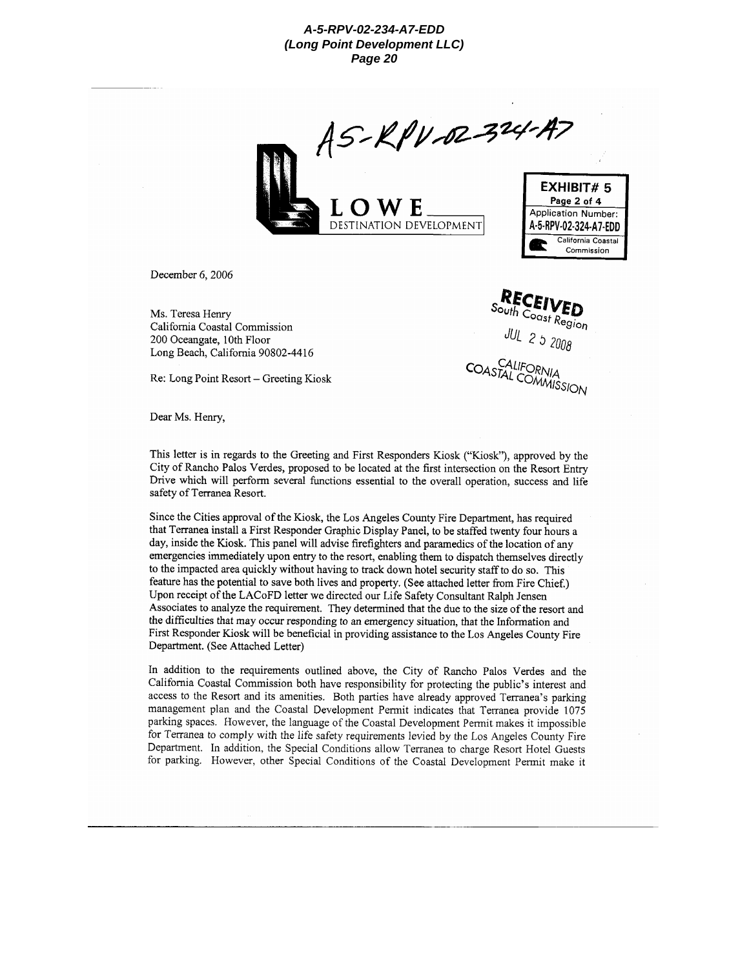

**RECEIVED**<br>outh Coast Region

**JUL** 2 5 2008

CALIFORNIA COASTAL COMMISSION

December 6, 2006

Ms. Teresa Henry California Coastal Commission 200 Oceangate, 10th Floor Long Beach, California 90802-4416

Re: Long Point Resort - Greeting Kiosk

Dear Ms. Henry,

This letter is in regards to the Greeting and First Responders Kiosk ("Kiosk"), approved by the City of Rancho Palos Verdes, proposed to be located at the first intersection on the Resort Entry Drive which will perform several functions essential to the overall operation, success and life safety of Terranea Resort.

Since the Cities approval of the Kiosk, the Los Angeles County Fire Department, has required that Terranea install a First Responder Graphic Display Panel, to be staffed twenty four hours a day, inside the Kiosk. This panel will advise firefighters and paramedics of the location of any emergencies immediately upon entry to the resort, enabling them to dispatch themselves directly to the impacted area quickly without having to track down hotel security staff to do so. This feature has the potential to save both lives and property. (See attached letter from Fire Chief.) Upon receipt of the LACoFD letter we directed our Life Safety Consultant Ralph Jensen Associates to analyze the requirement. They determined that the due to the size of the resort and the difficulties that may occur responding to an emergency situation, that the Information and First Responder Kiosk will be beneficial in providing assistance to the Los Angeles County Fire Department. (See Attached Letter)

In addition to the requirements outlined above, the City of Rancho Palos Verdes and the California Coastal Commission both have responsibility for protecting the public's interest and access to the Resort and its amenities. Both parties have already approved Terranea's parking management plan and the Coastal Development Permit indicates that Terranea provide 1075 parking spaces. However, the language of the Coastal Development Permit makes it impossible for Terranea to comply with the life safety requirements levied by the Los Angeles County Fire Department. In addition, the Special Conditions allow Terranea to charge Resort Hotel Guests for parking. However, other Special Conditions of the Coastal Development Permit make it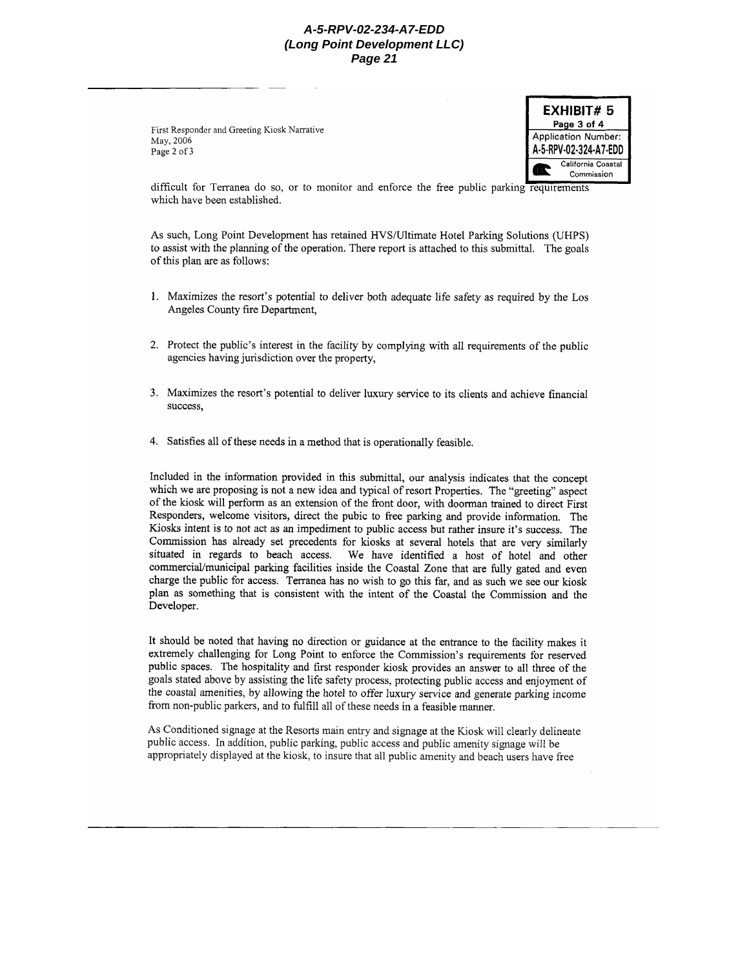First Responder and Greeting Kiosk Narrative May, 2006 Page 2 of 3



difficult for Terranea do so, or to monitor and enforce the free public parking requirements which have been established.

As such, Long Point Development has retained HVS/Ultimate Hotel Parking Solutions (UHPS) to assist with the planning of the operation. There report is attached to this submittal. The goals of this plan are as follows:

- 1. Maximizes the resort's potential to deliver both adequate life safety as required by the Los Angeles County fire Department,
- 2. Protect the public's interest in the facility by complying with all requirements of the public agencies having jurisdiction over the property,
- 3. Maximizes the resort's potential to deliver luxury service to its clients and achieve financial success.
- 4. Satisfies all of these needs in a method that is operationally feasible.

Included in the information provided in this submittal, our analysis indicates that the concept which we are proposing is not a new idea and typical of resort Properties. The "greeting" aspect of the kiosk will perform as an extension of the front door, with doorman trained to direct First Responders, welcome visitors, direct the pubic to free parking and provide information. The Kiosks intent is to not act as an impediment to public access but rather insure it's success. The Commission has already set precedents for kiosks at several hotels that are very similarly situated in regards to beach access. We have identified a host of hotel and other commercial/municipal parking facilities inside the Coastal Zone that are fully gated and even charge the public for access. Terranea has no wish to go this far, and as such we see our kiosk plan as something that is consistent with the intent of the Coastal the Commission and the Developer.

It should be noted that having no direction or guidance at the entrance to the facility makes it extremely challenging for Long Point to enforce the Commission's requirements for reserved public spaces. The hospitality and first responder kiosk provides an answer to all three of the goals stated above by assisting the life safety process, protecting public access and enjoyment of the coastal amenities, by allowing the hotel to offer luxury service and generate parking income from non-public parkers, and to fulfill all of these needs in a feasible manner.

As Conditioned signage at the Resorts main entry and signage at the Kiosk will clearly delineate public access. In addition, public parking, public access and public amenity signage will be appropriately displayed at the kiosk, to insure that all public amenity and beach users have free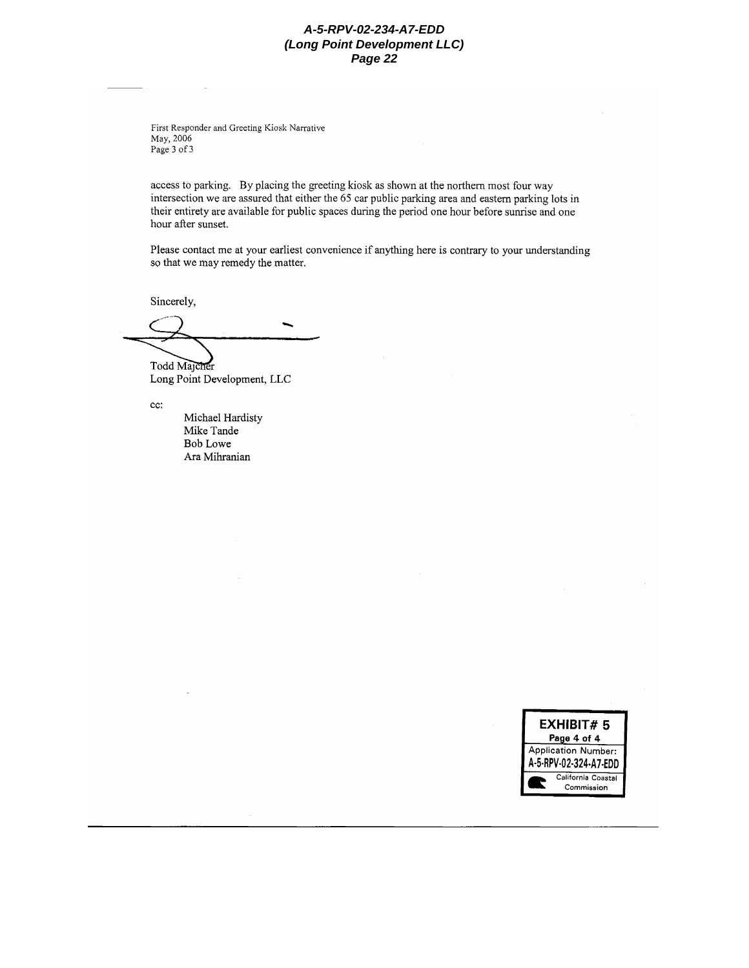First Responder and Greeting Kiosk Narrative May, 2006 Page 3 of 3

access to parking. By placing the greeting kiosk as shown at the northern most four way intersection we are assured that either the 65 car public parking area and eastern parking lots in their entirety are available for public spaces during the period one hour before sunrise and one hour after sunset.

Please contact me at your earliest convenience if anything here is contrary to your understanding so that we may remedy the matter.

Sincerely,

Todd Majcher Long Point Development, LLC

cc:

Michael Hardisty Mike Tande Bob Lowe Ara Mihranian

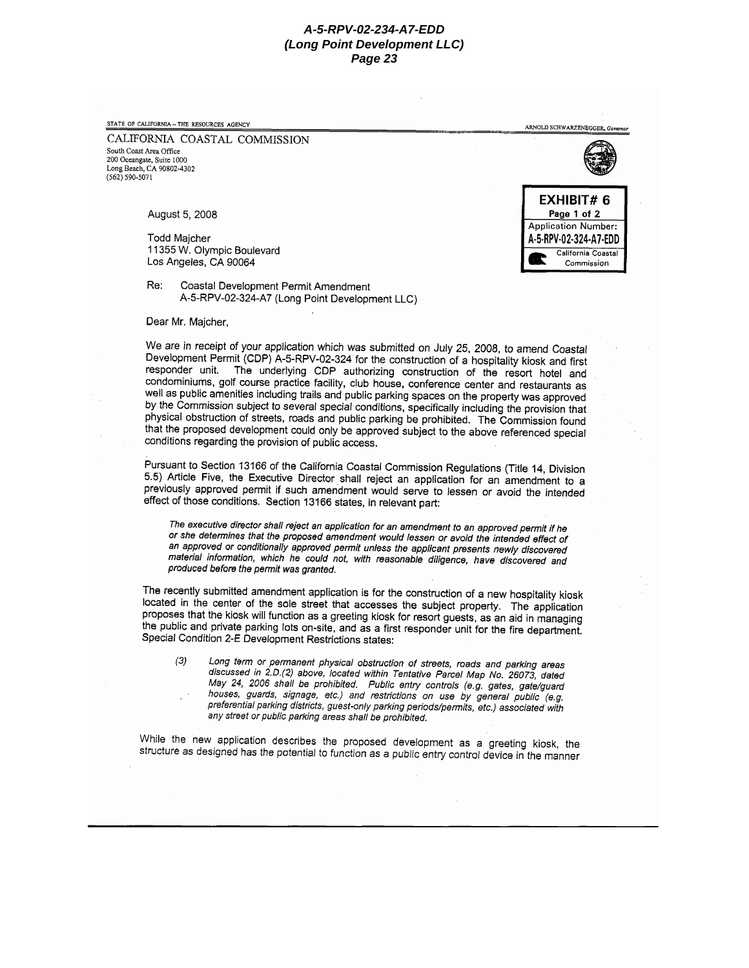STATE OF CALIFORNIA -- THE RESOURCES AGENCY

CALIFORNIA COASTAL COMMISSION South Coast Area Office 200 Oceangate, Suite 1000 Long Beach, CA 90802-4302  $(562) 590 - 5071$ 

August 5, 2008

**Todd Majcher** 11355 W. Olympic Boulevard Los Angeles, CA 90064

Coastal Development Permit Amendment Re: A-5-RPV-02-324-A7 (Long Point Development LLC)

Dear Mr. Majcher.

We are in receipt of your application which was submitted on July 25, 2008, to amend Coastal Development Permit (CDP) A-5-RPV-02-324 for the construction of a hospitality kiosk and first responder unit. The underlying CDP authorizing construction of the resort hotel and condominiums, golf course practice facility, club house, conference center and restaurants as well as public amenities including trails and public parking spaces on the property was approved by the Commission subject to several special conditions, specifically including the provision that physical obstruction of streets, roads and public parking be prohibited. The Commission found that the proposed development could only be approved subject to the above referenced special conditions regarding the provision of public access.

Pursuant to Section 13166 of the California Coastal Commission Regulations (Title 14, Division 5.5) Article Five, the Executive Director shall reject an application for an amendment to a previously approved permit if such amendment would serve to lessen or avoid the intended effect of those conditions. Section 13166 states, in relevant part:

The executive director shall reject an application for an amendment to an approved permit if he or she determines that the proposed amendment would lessen or avoid the intended effect of an approved or conditionally approved permit unless the applicant presents newly discovered material information, which he could not, with reasonable diligence, have discovered and produced before the permit was granted.

The recently submitted amendment application is for the construction of a new hospitality kiosk located in the center of the sole street that accesses the subject property. The application proposes that the kiosk will function as a greeting kiosk for resort guests, as an aid in managing the public and private parking lots on-site, and as a first responder unit for the fire department. Special Condition 2-E Development Restrictions states:

Long term or permanent physical obstruction of streets, roads and parking areas  $(3)$ discussed in 2.D.(2) above, located within Tentative Parcel Map No. 26073, dated May 24, 2006 shall be prohibited. Public entry controls (e.g. gates, gate/guard houses, guards, signage, etc.) and restrictions on use by general public (e.g. preferential parking districts, guest-only parking periods/permits, etc.) associated with any street or public parking areas shall be prohibited.

While the new application describes the proposed development as a greeting kiosk, the structure as designed has the potential to function as a public entry control device in the manner



ARNOLD SCHWARZENEGGER, Gov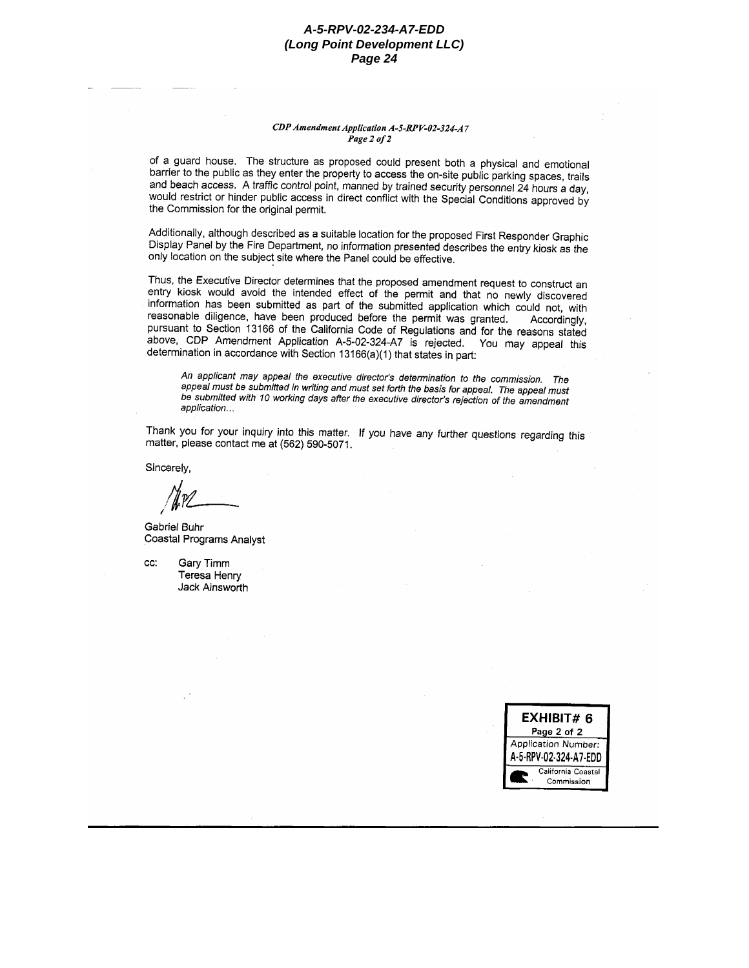#### CDP Amendment Application A-5-RPV-02-324-A7 Page 2 of 2

of a guard house. The structure as proposed could present both a physical and emotional barrier to the public as they enter the property to access the on-site public parking spaces, trails and beach access. A traffic control point, manned by trained security personnel 24 hours a day, would restrict or hinder public access in direct conflict with the Special Conditions approved by the Commission for the original permit.

Additionally, although described as a suitable location for the proposed First Responder Graphic Display Panel by the Fire Department, no information presented describes the entry kiosk as the only location on the subject site where the Panel could be effective.

Thus, the Executive Director determines that the proposed amendment request to construct an entry kiosk would avoid the intended effect of the permit and that no newly discovered information has been submitted as part of the submitted application which could not, with reasonable diligence, have been produced before the permit was granted. Accordingly, pursuant to Section 13166 of the California Code of Regulations and for the reasons stated above, CDP Amendment Application A-5-02-324-A7 is rejected. You may appeal this determination in accordance with Section 13166(a)(1) that states in part:

An applicant may appeal the executive director's determination to the commission. The appeal must be submitted in writing and must set forth the basis for appeal. The appeal must be submitted with 10 working days after the executive director's rejection of the amendment application...

Thank you for your inquiry into this matter. If you have any further questions regarding this matter, please contact me at (562) 590-5071.

Sincerely,

Gabriel Buhr Coastal Programs Analyst

CC: Gary Timm Teresa Henry Jack Ainsworth

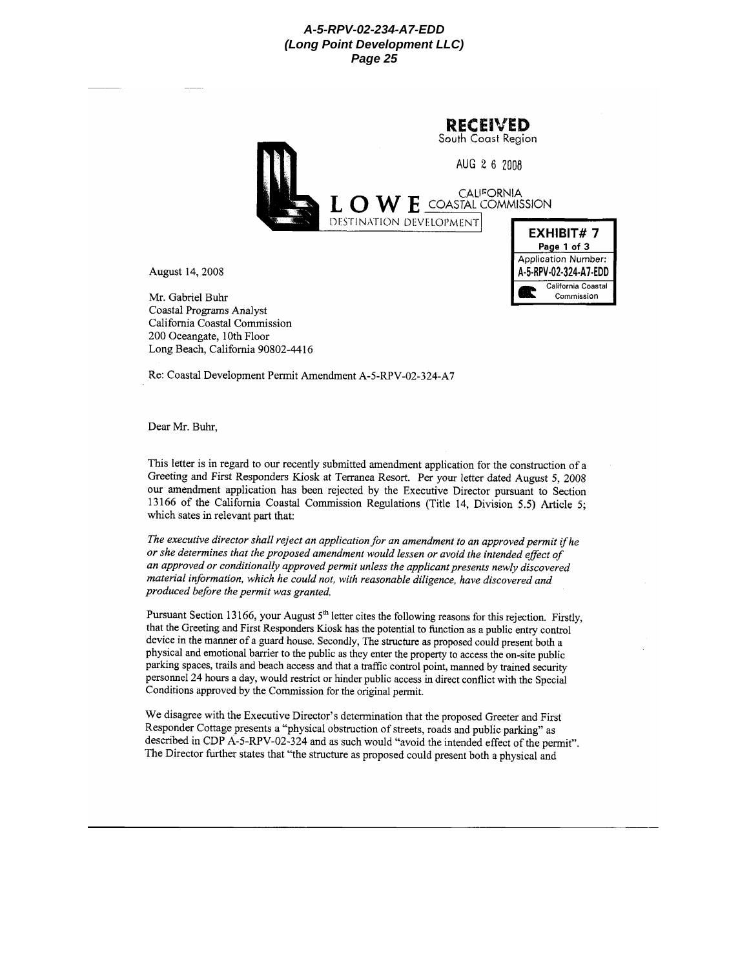|      |  | <b>RECEIVED</b><br>South Coast Region |                                              |  |  |  |
|------|--|---------------------------------------|----------------------------------------------|--|--|--|
|      |  | AUG 2 6 2008                          |                                              |  |  |  |
|      |  | L O W E COASTAL COMMISSION            |                                              |  |  |  |
|      |  | DESTINATION DEVELOPMENT               | EXHIBIT#7<br>Page 1 of 3                     |  |  |  |
| 2008 |  |                                       | Application Number:<br>A-5-RPV-02-324-A7-EDD |  |  |  |
|      |  |                                       | California Coastal                           |  |  |  |

Commission

August 14, 2

Mr. Gabriel Buhr Coastal Programs Analyst California Coastal Commission 200 Oceangate, 10th Floor Long Beach, California 90802-4416

Re: Coastal Development Permit Amendment A-5-RPV-02-324-A7

Dear Mr. Buhr.

This letter is in regard to our recently submitted amendment application for the construction of a Greeting and First Responders Kiosk at Terranea Resort. Per your letter dated August 5, 2008 our amendment application has been rejected by the Executive Director pursuant to Section 13166 of the California Coastal Commission Regulations (Title 14, Division 5.5) Article 5; which sates in relevant part that:

The executive director shall reject an application for an amendment to an approved permit if he or she determines that the proposed amendment would lessen or avoid the intended effect of an approved or conditionally approved permit unless the applicant presents newly discovered material information, which he could not, with reasonable diligence, have discovered and produced before the permit was granted.

Pursuant Section 13166, your August 5<sup>th</sup> letter cites the following reasons for this rejection. Firstly, that the Greeting and First Responders Kiosk has the potential to function as a public entry control device in the manner of a guard house. Secondly, The structure as proposed could present both a physical and emotional barrier to the public as they enter the property to access the on-site public parking spaces, trails and beach access and that a traffic control point, manned by trained security personnel 24 hours a day, would restrict or hinder public access in direct conflict with the Special Conditions approved by the Commission for the original permit.

We disagree with the Executive Director's determination that the proposed Greeter and First Responder Cottage presents a "physical obstruction of streets, roads and public parking" as described in CDP A-5-RPV-02-324 and as such would "avoid the intended effect of the permit". The Director further states that "the structure as proposed could present both a physical and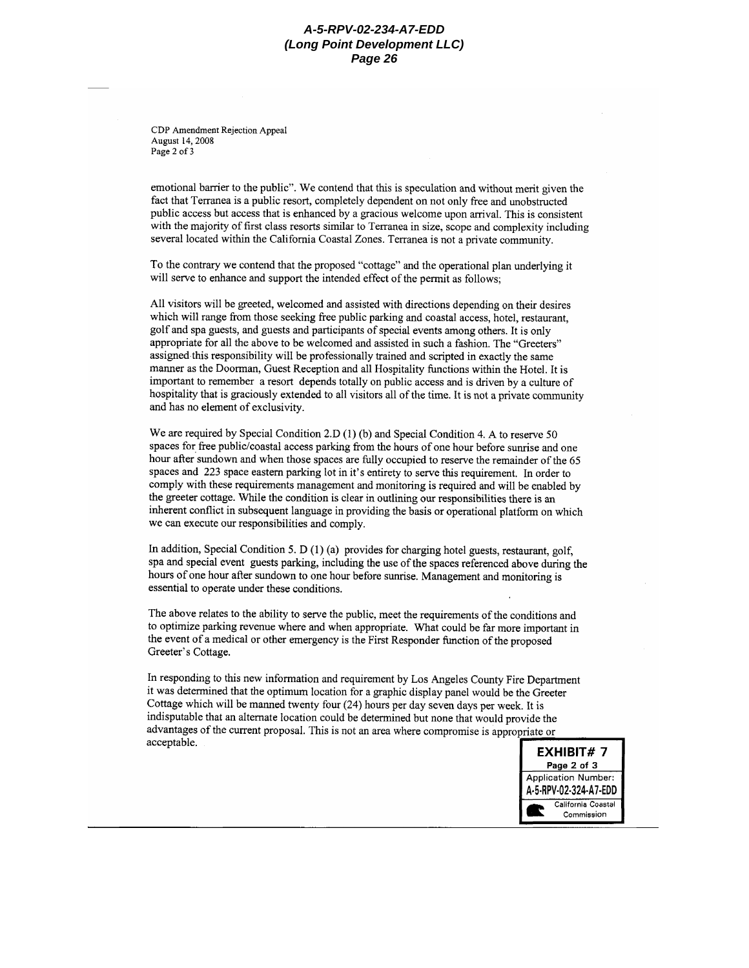CDP Amendment Rejection Appeal August 14, 2008 Page 2 of 3

emotional barrier to the public". We contend that this is speculation and without merit given the fact that Terranea is a public resort, completely dependent on not only free and unobstructed public access but access that is enhanced by a gracious welcome upon arrival. This is consistent with the majority of first class resorts similar to Terranea in size, scope and complexity including several located within the California Coastal Zones. Terranea is not a private community.

To the contrary we contend that the proposed "cottage" and the operational plan underlying it will serve to enhance and support the intended effect of the permit as follows:

All visitors will be greeted, welcomed and assisted with directions depending on their desires which will range from those seeking free public parking and coastal access, hotel, restaurant, golf and spa guests, and guests and participants of special events among others. It is only appropriate for all the above to be welcomed and assisted in such a fashion. The "Greeters" assigned this responsibility will be professionally trained and scripted in exactly the same manner as the Doorman, Guest Reception and all Hospitality functions within the Hotel. It is important to remember a resort depends totally on public access and is driven by a culture of hospitality that is graciously extended to all visitors all of the time. It is not a private community and has no element of exclusivity.

We are required by Special Condition 2.D (1) (b) and Special Condition 4. A to reserve 50 spaces for free public/coastal access parking from the hours of one hour before sunrise and one hour after sundown and when those spaces are fully occupied to reserve the remainder of the 65 spaces and 223 space eastern parking lot in it's entirety to serve this requirement. In order to comply with these requirements management and monitoring is required and will be enabled by the greeter cottage. While the condition is clear in outlining our responsibilities there is an inherent conflict in subsequent language in providing the basis or operational platform on which we can execute our responsibilities and comply.

In addition, Special Condition 5. D (1) (a) provides for charging hotel guests, restaurant, golf, spa and special event guests parking, including the use of the spaces referenced above during the hours of one hour after sundown to one hour before sunrise. Management and monitoring is essential to operate under these conditions.

The above relates to the ability to serve the public, meet the requirements of the conditions and to optimize parking revenue where and when appropriate. What could be far more important in the event of a medical or other emergency is the First Responder function of the proposed Greeter's Cottage.

In responding to this new information and requirement by Los Angeles County Fire Department it was determined that the optimum location for a graphic display panel would be the Greeter Cottage which will be manned twenty four (24) hours per day seven days per week. It is indisputable that an alternate location could be determined but none that would provide the advantages of the current proposal. This is not an area where compromise is appropriate or acceptable.

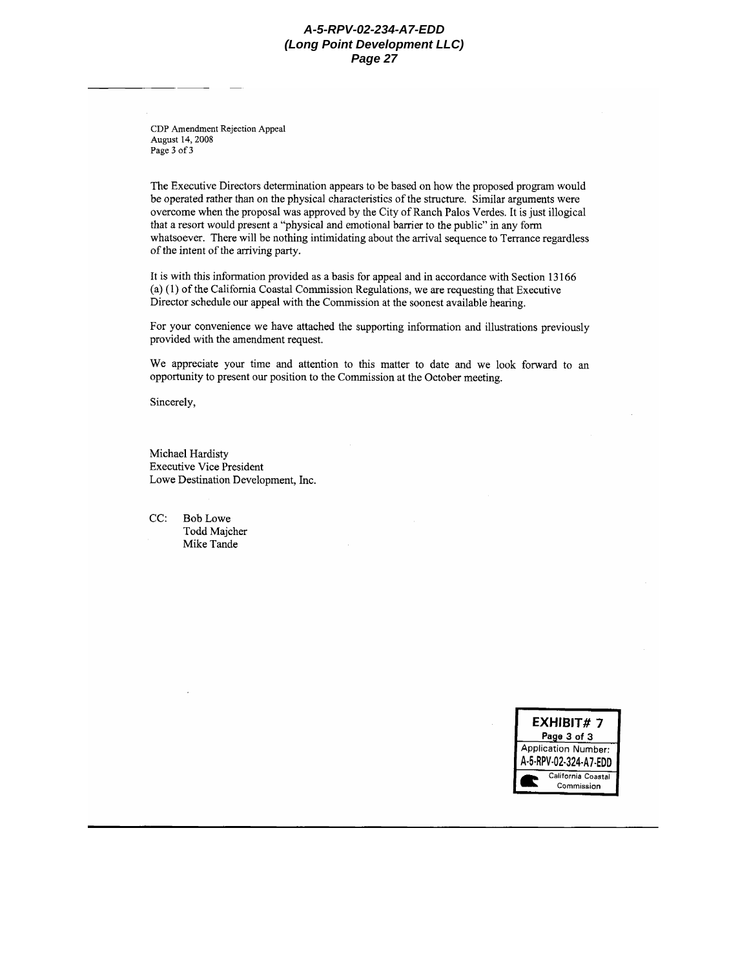CDP Amendment Rejection Appeal August 14, 2008 Page 3 of 3

The Executive Directors determination appears to be based on how the proposed program would be operated rather than on the physical characteristics of the structure. Similar arguments were overcome when the proposal was approved by the City of Ranch Palos Verdes. It is just illogical that a resort would present a "physical and emotional barrier to the public" in any form whatsoever. There will be nothing intimidating about the arrival sequence to Terrance regardless of the intent of the arriving party.

It is with this information provided as a basis for appeal and in accordance with Section 13166 (a) (1) of the California Coastal Commission Regulations, we are requesting that Executive Director schedule our appeal with the Commission at the soonest available hearing.

For your convenience we have attached the supporting information and illustrations previously provided with the amendment request.

We appreciate your time and attention to this matter to date and we look forward to an opportunity to present our position to the Commission at the October meeting.

Sincerely,

Michael Hardisty **Executive Vice President** Lowe Destination Development, Inc.

 $CC:$ **Bob Lowe** Todd Majcher Mike Tande

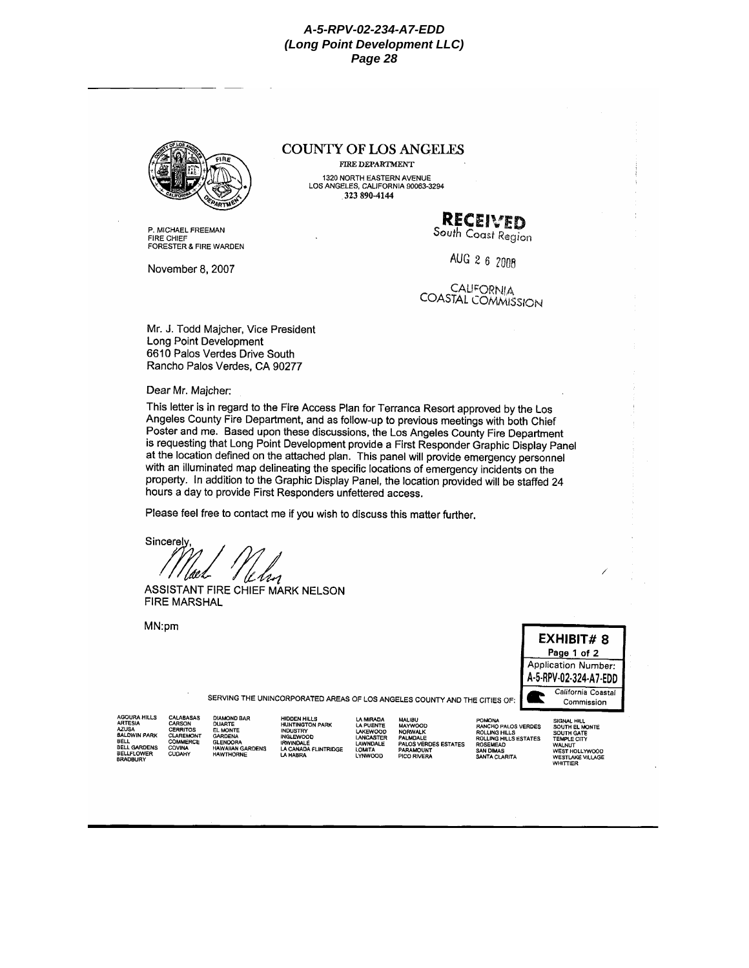

P. MICHAEL FREEMAN **FIRE CHIFE** FORESTER & FIRE WARDEN

November 8, 2007

## **COUNTY OF LOS ANGELES**

**FIRE DEPARTMENT** 1320 NORTH EASTERN AVENUE<br>LOS ANGELES, CALIFORNIA 90063-3294  $323890 - 4144$ 

# RECEIVED

South Coast Region

AUG 2 6 2008

**CALIFORNIA COASTAL COMMISSION** 

Mr. J. Todd Majcher, Vice President Long Point Development 6610 Palos Verdes Drive South Rancho Palos Verdes, CA 90277

Dear Mr. Majcher:

This letter is in regard to the Fire Access Plan for Terranca Resort approved by the Los Angeles County Fire Department, and as follow-up to previous meetings with both Chief Poster and me. Based upon these discussions, the Los Angeles County Fire Department is requesting that Long Point Development provide a First Responder Graphic Display Panel at the location defined on the attached plan. This panel will provide emergency personnel with an illuminated map delineating the specific locations of emergency incidents on the property. In addition to the Graphic Display Panel, the location provided will be staffed 24 hours a day to provide First Responders unfettered access.

Please feel free to contact me if you wish to discuss this matter further.

Sincerely

ASSISTANT FIRE CHIEF MARK NELSON **FIRE MARSHAL** 

MN:pm



SERVING THE UNINCORPORATED AREAS OF LOS ANGELES COUNTY AND THE CITIES OF

AGOURA HILLS<br>ARTESIA<br>AZUSA<br>BALDWIN PARK BELL<br>BELL<br>BELL GARDENS BELLFLOWER<br>BRADBURY

COVINA

CUDAHY

DIAMOND BAR<br>DUARTE<br>EL MONTE<br>GARDENA<br>GARDEN<br>HAWAIIAN GARDENS<br>HAWAIIAN GARDENS CALABASAS<br>CARSON<br>CERRITOS<br>CLAREMONT<br>COMMERCE

HIDDEN HILLS<br>HUNTINGTON PARK<br>INDUSTRY<br>RWINDALE<br>LA CANADA FLINTRIDGE<br>LA CANADA FLINTRIDGE

**MALIBU<br>MAYWOOD<br>NORWALK<br>PALOS VERDES ESTATES** LA MIRADA<br>LA PUENTE<br>LAKEWOOD<br>LANCASTER LAWNDALE<br>LOMITA<br>LYNWOOD PARAMOUNT<br>PICO RIVERA

POMONA<br>RANCHO PALOS VERDES<br>ROLLING HILLS<br>ROLLING HILLS ESTATES<br>ROSEMEAD SAN DIMAS<br>SANTA CLARITA

SIGNAL HILL<br>SOUTH EL MONTE<br>SOUTH GATE<br>TEMPLE CITY<br>WALNUT<br>WEST HOLLYWOOD<br>WEST LAKE VILLAGE<br>WHITTIER